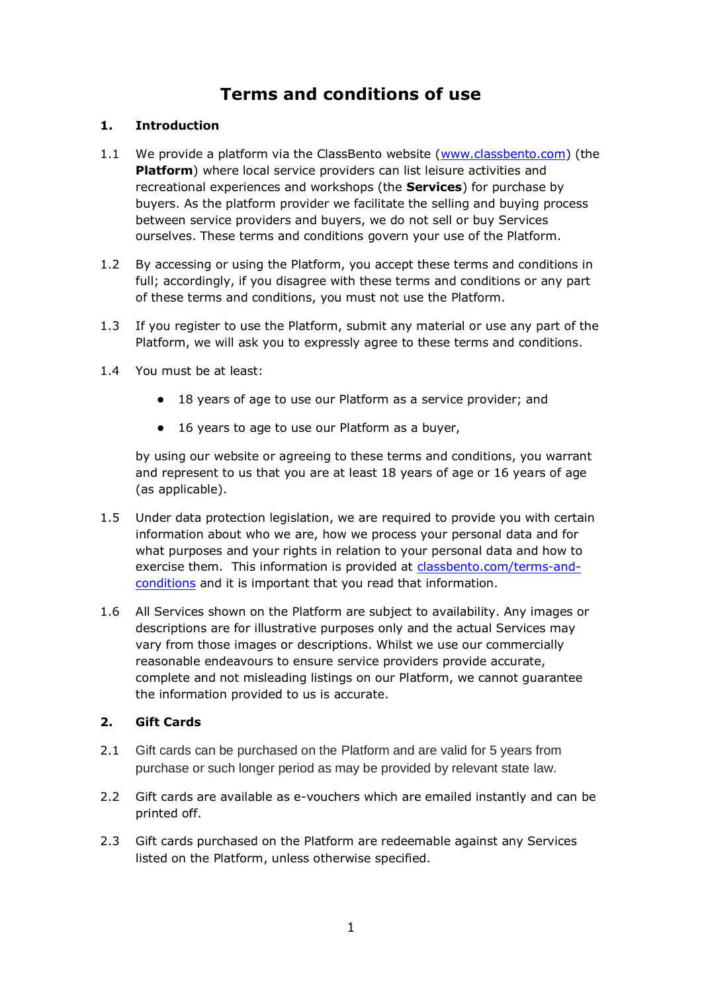# **Terms and conditions of use**

#### **1. Introduction**

- 1.1 We provide a platform via the ClassBento website [\(www.classbento.com\)](about:blank) (the **Platform**) where local service providers can list leisure activities and recreational experiences and workshops (the **Services**) for purchase by buyers. As the platform provider we facilitate the selling and buying process between service providers and buyers, we do not sell or buy Services ourselves. These terms and conditions govern your use of the Platform.
- 1.2 By accessing or using the Platform, you accept these terms and conditions in full; accordingly, if you disagree with these terms and conditions or any part of these terms and conditions, you must not use the Platform.
- 1.3 If you register to use the Platform, submit any material or use any part of the Platform, we will ask you to expressly agree to these terms and conditions.
- 1.4 You must be at least:
	- 18 years of age to use our Platform as a service provider; and
	- 16 years to age to use our Platform as a buyer,

by using our website or agreeing to these terms and conditions, you warrant and represent to us that you are at least 18 years of age or 16 years of age (as applicable).

- 1.5 Under data protection legislation, we are required to provide you with certain information about who we are, how we process your personal data and for what purposes and your rights in relation to your personal data and how to exercise them. This information is provided at [classbento.com/terms-and](about:blank)[conditions](about:blank) and it is important that you read that information.
- 1.6 All Services shown on the Platform are subject to availability. Any images or descriptions are for illustrative purposes only and the actual Services may vary from those images or descriptions. Whilst we use our commercially reasonable endeavours to ensure service providers provide accurate, complete and not misleading listings on our Platform, we cannot guarantee the information provided to us is accurate.

#### **2. Gift Cards**

- 2.1 Gift cards can be purchased on the Platform and are valid for 5 years from purchase or such longer period as may be provided by relevant state law.
- 2.2 Gift cards are available as e-vouchers which are emailed instantly and can be printed off.
- 2.3 Gift cards purchased on the Platform are redeemable against any Services listed on the Platform, unless otherwise specified.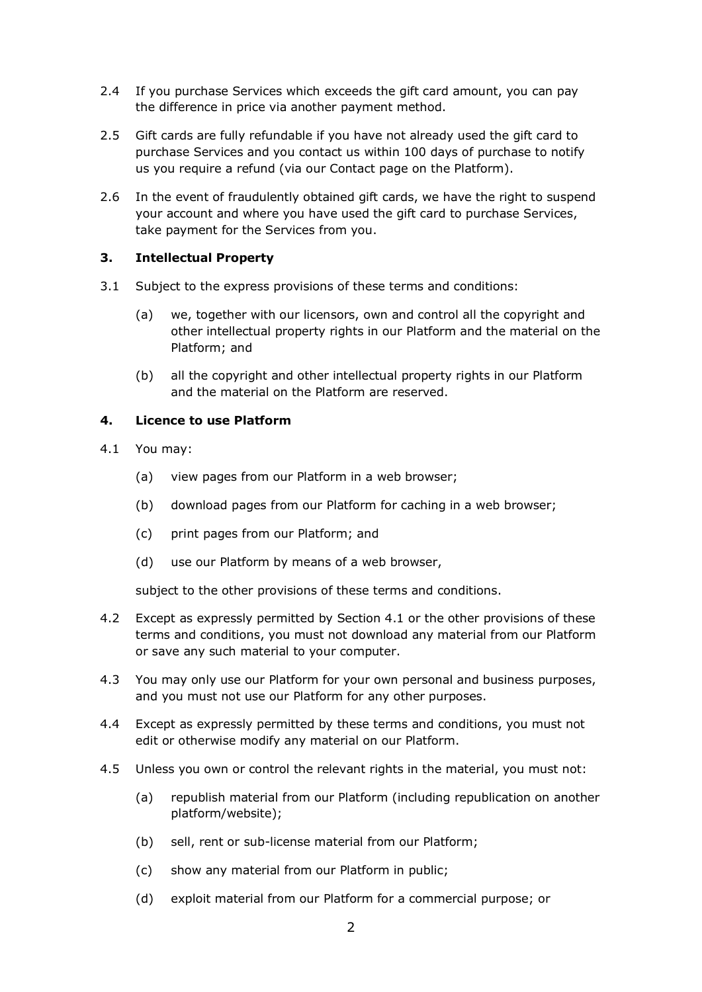- 2.4 If you purchase Services which exceeds the gift card amount, you can pay the difference in price via another payment method.
- 2.5 Gift cards are fully refundable if you have not already used the gift card to purchase Services and you contact us within 100 days of purchase to notify us you require a refund (via our Contact page on the Platform).
- 2.6 In the event of fraudulently obtained gift cards, we have the right to suspend your account and where you have used the gift card to purchase Services, take payment for the Services from you.

#### **3. Intellectual Property**

- 3.1 Subject to the express provisions of these terms and conditions:
	- (a) we, together with our licensors, own and control all the copyright and other intellectual property rights in our Platform and the material on the Platform; and
	- (b) all the copyright and other intellectual property rights in our Platform and the material on the Platform are reserved.

#### **4. Licence to use Platform**

- 4.1 You may:
	- (a) view pages from our Platform in a web browser;
	- (b) download pages from our Platform for caching in a web browser;
	- (c) print pages from our Platform; and
	- (d) use our Platform by means of a web browser,

subject to the other provisions of these terms and conditions.

- 4.2 Except as expressly permitted by Section 4.1 or the other provisions of these terms and conditions, you must not download any material from our Platform or save any such material to your computer.
- 4.3 You may only use our Platform for your own personal and business purposes, and you must not use our Platform for any other purposes.
- 4.4 Except as expressly permitted by these terms and conditions, you must not edit or otherwise modify any material on our Platform.
- 4.5 Unless you own or control the relevant rights in the material, you must not:
	- (a) republish material from our Platform (including republication on another platform/website);
	- (b) sell, rent or sub-license material from our Platform;
	- (c) show any material from our Platform in public;
	- (d) exploit material from our Platform for a commercial purpose; or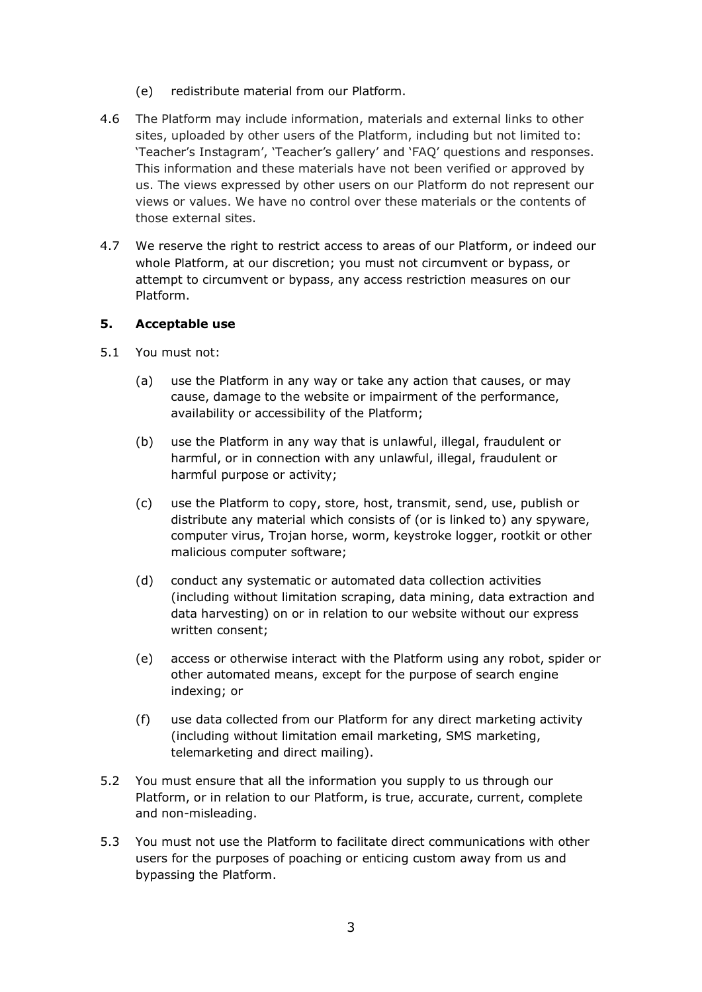- (e) redistribute material from our Platform.
- 4.6 The Platform may include information, materials and external links to other sites, uploaded by other users of the Platform, including but not limited to: 'Teacher's Instagram', 'Teacher's gallery' and 'FAQ' questions and responses. This information and these materials have not been verified or approved by us. The views expressed by other users on our Platform do not represent our views or values. We have no control over these materials or the contents of those external sites.
- 4.7 We reserve the right to restrict access to areas of our Platform, or indeed our whole Platform, at our discretion; you must not circumvent or bypass, or attempt to circumvent or bypass, any access restriction measures on our Platform.

#### **5. Acceptable use**

- 5.1 You must not:
	- (a) use the Platform in any way or take any action that causes, or may cause, damage to the website or impairment of the performance, availability or accessibility of the Platform;
	- (b) use the Platform in any way that is unlawful, illegal, fraudulent or harmful, or in connection with any unlawful, illegal, fraudulent or harmful purpose or activity;
	- (c) use the Platform to copy, store, host, transmit, send, use, publish or distribute any material which consists of (or is linked to) any spyware, computer virus, Trojan horse, worm, keystroke logger, rootkit or other malicious computer software;
	- (d) conduct any systematic or automated data collection activities (including without limitation scraping, data mining, data extraction and data harvesting) on or in relation to our website without our express written consent;
	- (e) access or otherwise interact with the Platform using any robot, spider or other automated means, except for the purpose of search engine indexing; or
	- (f) use data collected from our Platform for any direct marketing activity (including without limitation email marketing, SMS marketing, telemarketing and direct mailing).
- 5.2 You must ensure that all the information you supply to us through our Platform, or in relation to our Platform, is true, accurate, current, complete and non-misleading.
- 5.3 You must not use the Platform to facilitate direct communications with other users for the purposes of poaching or enticing custom away from us and bypassing the Platform.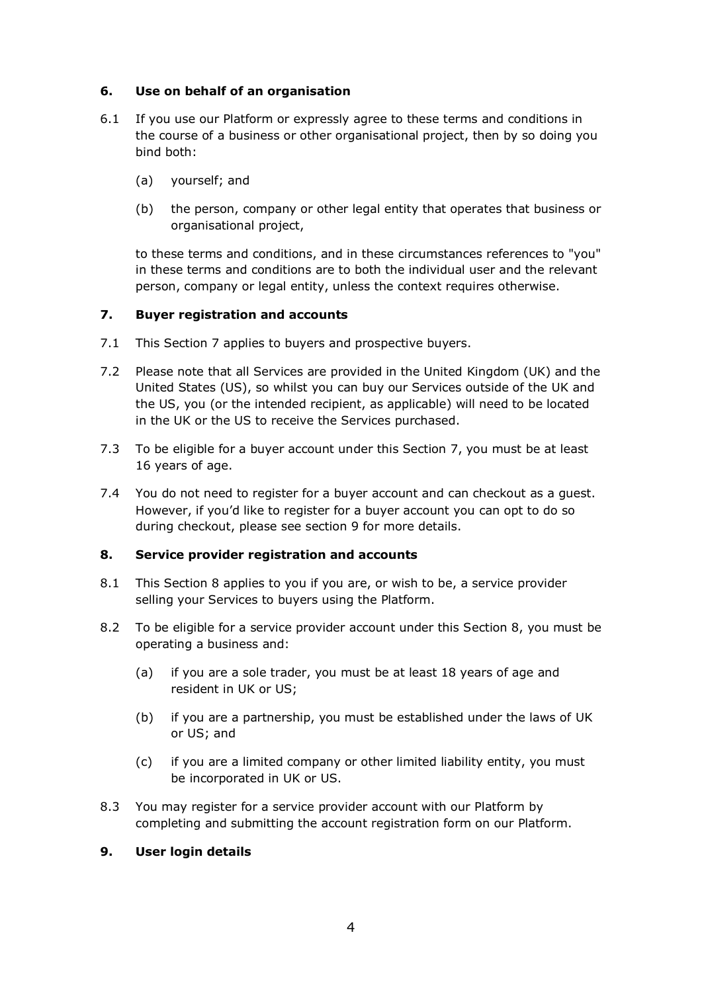#### **6. Use on behalf of an organisation**

- 6.1 If you use our Platform or expressly agree to these terms and conditions in the course of a business or other organisational project, then by so doing you bind both:
	- (a) yourself; and
	- (b) the person, company or other legal entity that operates that business or organisational project,

to these terms and conditions, and in these circumstances references to "you" in these terms and conditions are to both the individual user and the relevant person, company or legal entity, unless the context requires otherwise.

#### **7. Buyer registration and accounts**

- 7.1 This Section 7 applies to buyers and prospective buyers.
- 7.2 Please note that all Services are provided in the United Kingdom (UK) and the United States (US), so whilst you can buy our Services outside of the UK and the US, you (or the intended recipient, as applicable) will need to be located in the UK or the US to receive the Services purchased.
- 7.3 To be eligible for a buyer account under this Section 7, you must be at least 16 years of age.
- 7.4 You do not need to register for a buyer account and can checkout as a guest. However, if you'd like to register for a buyer account you can opt to do so during checkout, please see section 9 for more details.

#### **8. Service provider registration and accounts**

- 8.1 This Section 8 applies to you if you are, or wish to be, a service provider selling your Services to buyers using the Platform.
- 8.2 To be eligible for a service provider account under this Section 8, you must be operating a business and:
	- (a) if you are a sole trader, you must be at least 18 years of age and resident in UK or US;
	- (b) if you are a partnership, you must be established under the laws of UK or US; and
	- (c) if you are a limited company or other limited liability entity, you must be incorporated in UK or US.
- 8.3 You may register for a service provider account with our Platform by completing and submitting the account registration form on our Platform.

#### **9. User login details**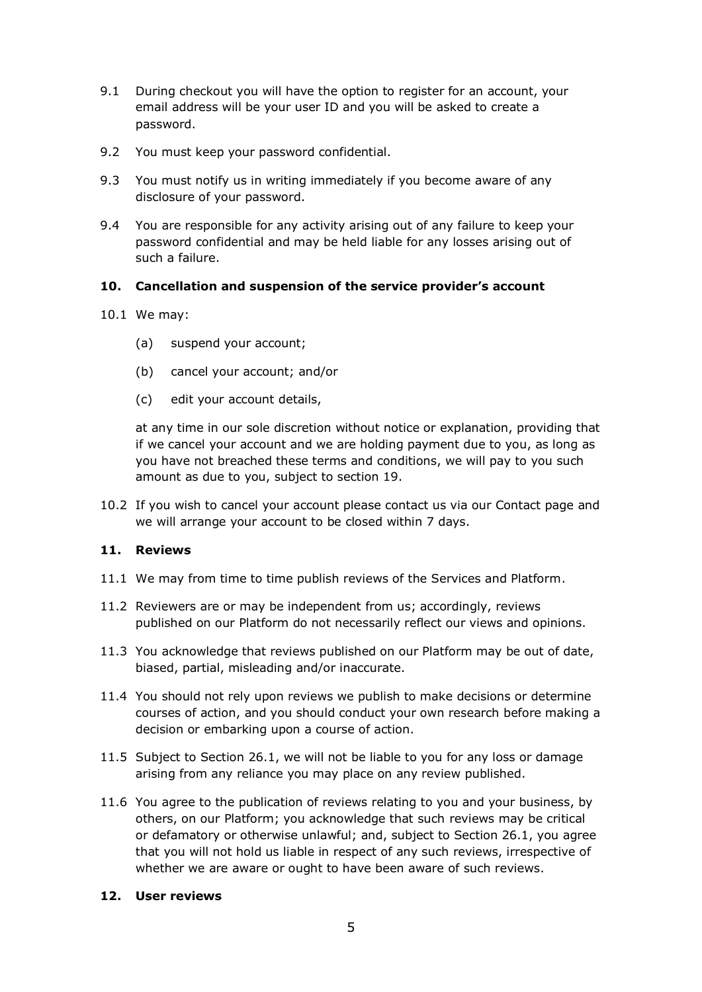- 9.1 During checkout you will have the option to register for an account, your email address will be your user ID and you will be asked to create a password.
- 9.2 You must keep your password confidential.
- 9.3 You must notify us in writing immediately if you become aware of any disclosure of your password.
- 9.4 You are responsible for any activity arising out of any failure to keep your password confidential and may be held liable for any losses arising out of such a failure.

#### **10. Cancellation and suspension of the service provider's account**

- 10.1 We may:
	- (a) suspend your account;
	- (b) cancel your account; and/or
	- (c) edit your account details,

at any time in our sole discretion without notice or explanation, providing that if we cancel your account and we are holding payment due to you, as long as you have not breached these terms and conditions, we will pay to you such amount as due to you, subject to section 19.

10.2 If you wish to cancel your account please contact us via our Contact page and we will arrange your account to be closed within 7 days.

#### **11. Reviews**

- 11.1 We may from time to time publish reviews of the Services and Platform.
- 11.2 Reviewers are or may be independent from us; accordingly, reviews published on our Platform do not necessarily reflect our views and opinions.
- 11.3 You acknowledge that reviews published on our Platform may be out of date, biased, partial, misleading and/or inaccurate.
- 11.4 You should not rely upon reviews we publish to make decisions or determine courses of action, and you should conduct your own research before making a decision or embarking upon a course of action.
- 11.5 Subject to Section 26.1, we will not be liable to you for any loss or damage arising from any reliance you may place on any review published.
- 11.6 You agree to the publication of reviews relating to you and your business, by others, on our Platform; you acknowledge that such reviews may be critical or defamatory or otherwise unlawful; and, subject to Section 26.1, you agree that you will not hold us liable in respect of any such reviews, irrespective of whether we are aware or ought to have been aware of such reviews.

#### **12. User reviews**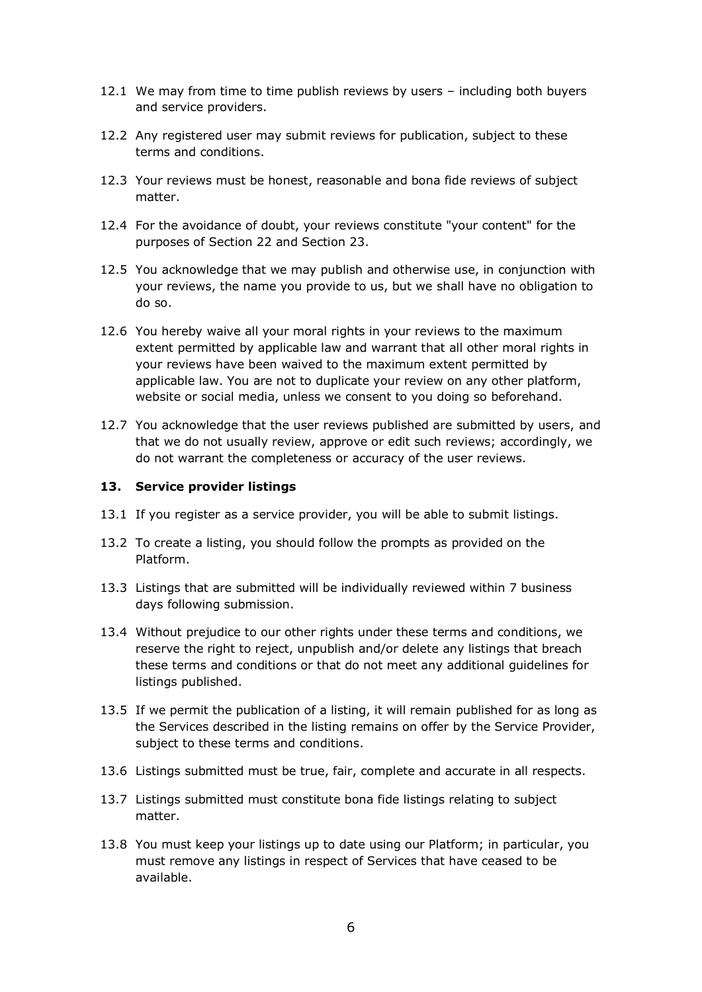- 12.1 We may from time to time publish reviews by users including both buyers and service providers.
- 12.2 Any registered user may submit reviews for publication, subject to these terms and conditions.
- 12.3 Your reviews must be honest, reasonable and bona fide reviews of subject matter.
- 12.4 For the avoidance of doubt, your reviews constitute "your content" for the purposes of Section 22 and Section 23.
- 12.5 You acknowledge that we may publish and otherwise use, in conjunction with your reviews, the name you provide to us, but we shall have no obligation to do so.
- 12.6 You hereby waive all your moral rights in your reviews to the maximum extent permitted by applicable law and warrant that all other moral rights in your reviews have been waived to the maximum extent permitted by applicable law. You are not to duplicate your review on any other platform, website or social media, unless we consent to you doing so beforehand.
- 12.7 You acknowledge that the user reviews published are submitted by users, and that we do not usually review, approve or edit such reviews; accordingly, we do not warrant the completeness or accuracy of the user reviews.

#### **13. Service provider listings**

- 13.1 If you register as a service provider, you will be able to submit listings.
- 13.2 To create a listing, you should follow the prompts as provided on the Platform.
- 13.3 Listings that are submitted will be individually reviewed within 7 business days following submission.
- 13.4 Without prejudice to our other rights under these terms and conditions, we reserve the right to reject, unpublish and/or delete any listings that breach these terms and conditions or that do not meet any additional guidelines for listings published.
- 13.5 If we permit the publication of a listing, it will remain published for as long as the Services described in the listing remains on offer by the Service Provider, subject to these terms and conditions.
- 13.6 Listings submitted must be true, fair, complete and accurate in all respects.
- 13.7 Listings submitted must constitute bona fide listings relating to subject matter.
- 13.8 You must keep your listings up to date using our Platform; in particular, you must remove any listings in respect of Services that have ceased to be available.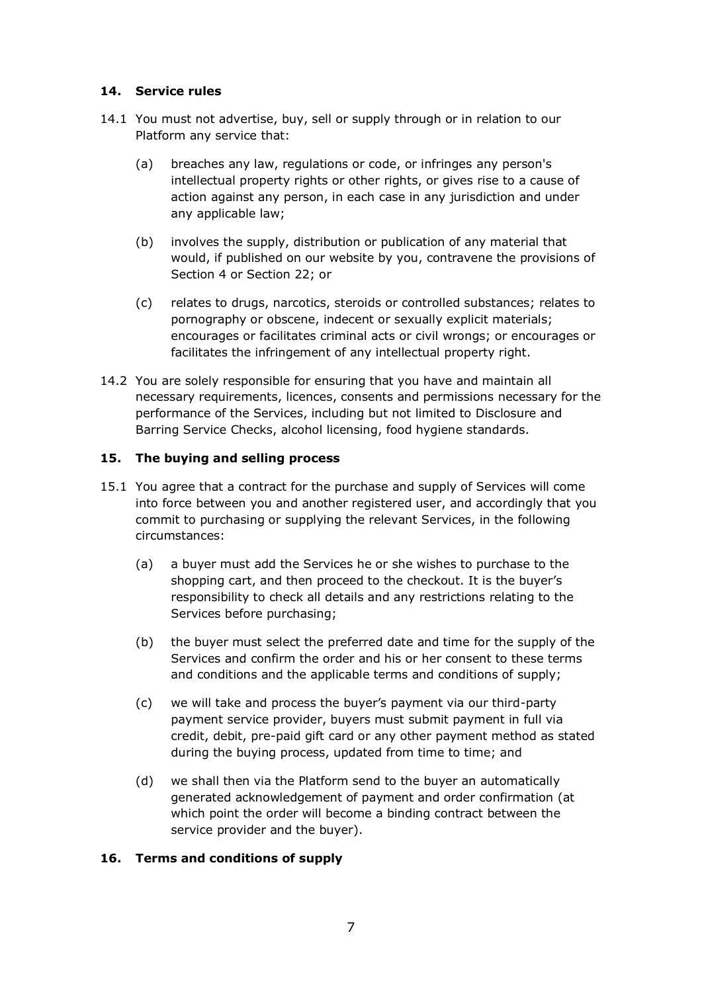#### **14. Service rules**

- 14.1 You must not advertise, buy, sell or supply through or in relation to our Platform any service that:
	- (a) breaches any law, regulations or code, or infringes any person's intellectual property rights or other rights, or gives rise to a cause of action against any person, in each case in any jurisdiction and under any applicable law;
	- (b) involves the supply, distribution or publication of any material that would, if published on our website by you, contravene the provisions of Section 4 or Section 22; or
	- (c) relates to drugs, narcotics, steroids or controlled substances; relates to pornography or obscene, indecent or sexually explicit materials; encourages or facilitates criminal acts or civil wrongs; or encourages or facilitates the infringement of any intellectual property right.
- 14.2 You are solely responsible for ensuring that you have and maintain all necessary requirements, licences, consents and permissions necessary for the performance of the Services, including but not limited to Disclosure and Barring Service Checks, alcohol licensing, food hygiene standards.

#### **15. The buying and selling process**

- 15.1 You agree that a contract for the purchase and supply of Services will come into force between you and another registered user, and accordingly that you commit to purchasing or supplying the relevant Services, in the following circumstances:
	- (a) a buyer must add the Services he or she wishes to purchase to the shopping cart, and then proceed to the checkout. It is the buyer's responsibility to check all details and any restrictions relating to the Services before purchasing;
	- (b) the buyer must select the preferred date and time for the supply of the Services and confirm the order and his or her consent to these terms and conditions and the applicable terms and conditions of supply;
	- (c) we will take and process the buyer's payment via our third-party payment service provider, buyers must submit payment in full via credit, debit, pre-paid gift card or any other payment method as stated during the buying process, updated from time to time; and
	- (d) we shall then via the Platform send to the buyer an automatically generated acknowledgement of payment and order confirmation (at which point the order will become a binding contract between the service provider and the buyer).

#### **16. Terms and conditions of supply**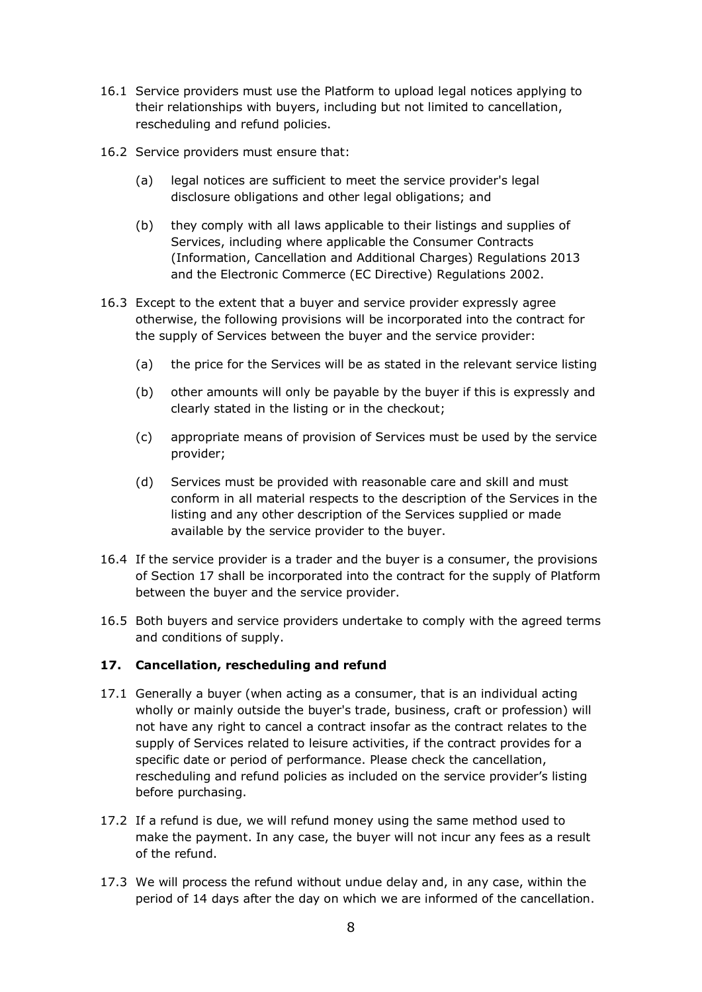- 16.1 Service providers must use the Platform to upload legal notices applying to their relationships with buyers, including but not limited to cancellation, rescheduling and refund policies.
- 16.2 Service providers must ensure that:
	- (a) legal notices are sufficient to meet the service provider's legal disclosure obligations and other legal obligations; and
	- (b) they comply with all laws applicable to their listings and supplies of Services, including where applicable the Consumer Contracts (Information, Cancellation and Additional Charges) Regulations 2013 and the Electronic Commerce (EC Directive) Regulations 2002.
- 16.3 Except to the extent that a buyer and service provider expressly agree otherwise, the following provisions will be incorporated into the contract for the supply of Services between the buyer and the service provider:
	- (a) the price for the Services will be as stated in the relevant service listing
	- (b) other amounts will only be payable by the buyer if this is expressly and clearly stated in the listing or in the checkout;
	- (c) appropriate means of provision of Services must be used by the service provider;
	- (d) Services must be provided with reasonable care and skill and must conform in all material respects to the description of the Services in the listing and any other description of the Services supplied or made available by the service provider to the buyer.
- 16.4 If the service provider is a trader and the buyer is a consumer, the provisions of Section 17 shall be incorporated into the contract for the supply of Platform between the buyer and the service provider.
- 16.5 Both buyers and service providers undertake to comply with the agreed terms and conditions of supply.

#### **17. Cancellation, rescheduling and refund**

- 17.1 Generally a buyer (when acting as a consumer, that is an individual acting wholly or mainly outside the buyer's trade, business, craft or profession) will not have any right to cancel a contract insofar as the contract relates to the supply of Services related to leisure activities, if the contract provides for a specific date or period of performance. Please check the cancellation, rescheduling and refund policies as included on the service provider's listing before purchasing.
- 17.2 If a refund is due, we will refund money using the same method used to make the payment. In any case, the buyer will not incur any fees as a result of the refund.
- 17.3 We will process the refund without undue delay and, in any case, within the period of 14 days after the day on which we are informed of the cancellation.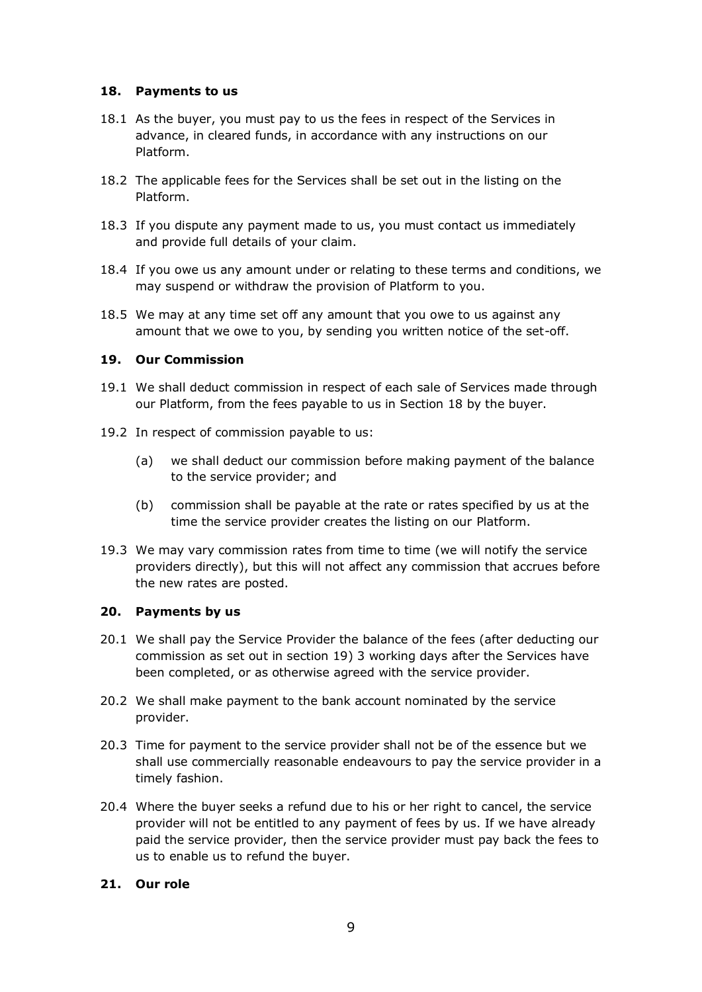#### **18. Payments to us**

- 18.1 As the buyer, you must pay to us the fees in respect of the Services in advance, in cleared funds, in accordance with any instructions on our Platform.
- 18.2 The applicable fees for the Services shall be set out in the listing on the Platform.
- 18.3 If you dispute any payment made to us, you must contact us immediately and provide full details of your claim.
- 18.4 If you owe us any amount under or relating to these terms and conditions, we may suspend or withdraw the provision of Platform to you.
- 18.5 We may at any time set off any amount that you owe to us against any amount that we owe to you, by sending you written notice of the set-off.

#### **19. Our Commission**

- 19.1 We shall deduct commission in respect of each sale of Services made through our Platform, from the fees payable to us in Section 18 by the buyer.
- 19.2 In respect of commission payable to us:
	- (a) we shall deduct our commission before making payment of the balance to the service provider; and
	- (b) commission shall be payable at the rate or rates specified by us at the time the service provider creates the listing on our Platform.
- 19.3 We may vary commission rates from time to time (we will notify the service providers directly), but this will not affect any commission that accrues before the new rates are posted.

#### **20. Payments by us**

- 20.1 We shall pay the Service Provider the balance of the fees (after deducting our commission as set out in section 19) 3 working days after the Services have been completed, or as otherwise agreed with the service provider.
- 20.2 We shall make payment to the bank account nominated by the service provider.
- 20.3 Time for payment to the service provider shall not be of the essence but we shall use commercially reasonable endeavours to pay the service provider in a timely fashion.
- 20.4 Where the buyer seeks a refund due to his or her right to cancel, the service provider will not be entitled to any payment of fees by us. If we have already paid the service provider, then the service provider must pay back the fees to us to enable us to refund the buyer.

#### **21. Our role**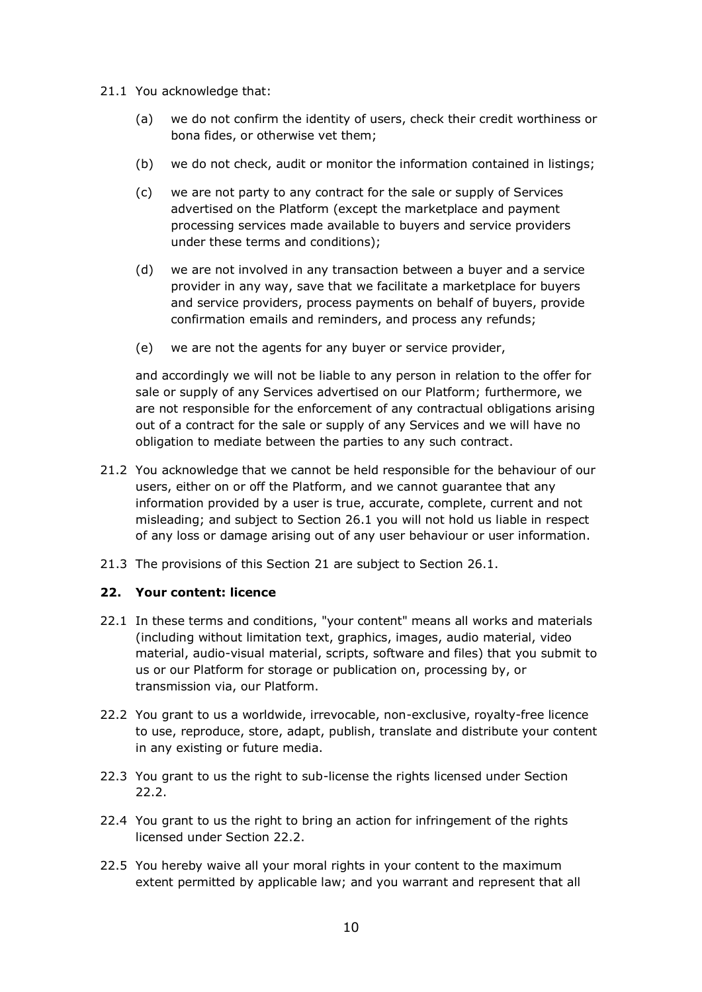- 21.1 You acknowledge that:
	- (a) we do not confirm the identity of users, check their credit worthiness or bona fides, or otherwise vet them;
	- (b) we do not check, audit or monitor the information contained in listings;
	- (c) we are not party to any contract for the sale or supply of Services advertised on the Platform (except the marketplace and payment processing services made available to buyers and service providers under these terms and conditions);
	- (d) we are not involved in any transaction between a buyer and a service provider in any way, save that we facilitate a marketplace for buyers and service providers, process payments on behalf of buyers, provide confirmation emails and reminders, and process any refunds;
	- (e) we are not the agents for any buyer or service provider,

and accordingly we will not be liable to any person in relation to the offer for sale or supply of any Services advertised on our Platform; furthermore, we are not responsible for the enforcement of any contractual obligations arising out of a contract for the sale or supply of any Services and we will have no obligation to mediate between the parties to any such contract.

- 21.2 You acknowledge that we cannot be held responsible for the behaviour of our users, either on or off the Platform, and we cannot guarantee that any information provided by a user is true, accurate, complete, current and not misleading; and subject to Section 26.1 you will not hold us liable in respect of any loss or damage arising out of any user behaviour or user information.
- 21.3 The provisions of this Section 21 are subject to Section 26.1.

#### **22. Your content: licence**

- 22.1 In these terms and conditions, "your content" means all works and materials (including without limitation text, graphics, images, audio material, video material, audio-visual material, scripts, software and files) that you submit to us or our Platform for storage or publication on, processing by, or transmission via, our Platform.
- 22.2 You grant to us a worldwide, irrevocable, non-exclusive, royalty-free licence to use, reproduce, store, adapt, publish, translate and distribute your content in any existing or future media.
- 22.3 You grant to us the right to sub-license the rights licensed under Section 22.2.
- 22.4 You grant to us the right to bring an action for infringement of the rights licensed under Section 22.2.
- 22.5 You hereby waive all your moral rights in your content to the maximum extent permitted by applicable law; and you warrant and represent that all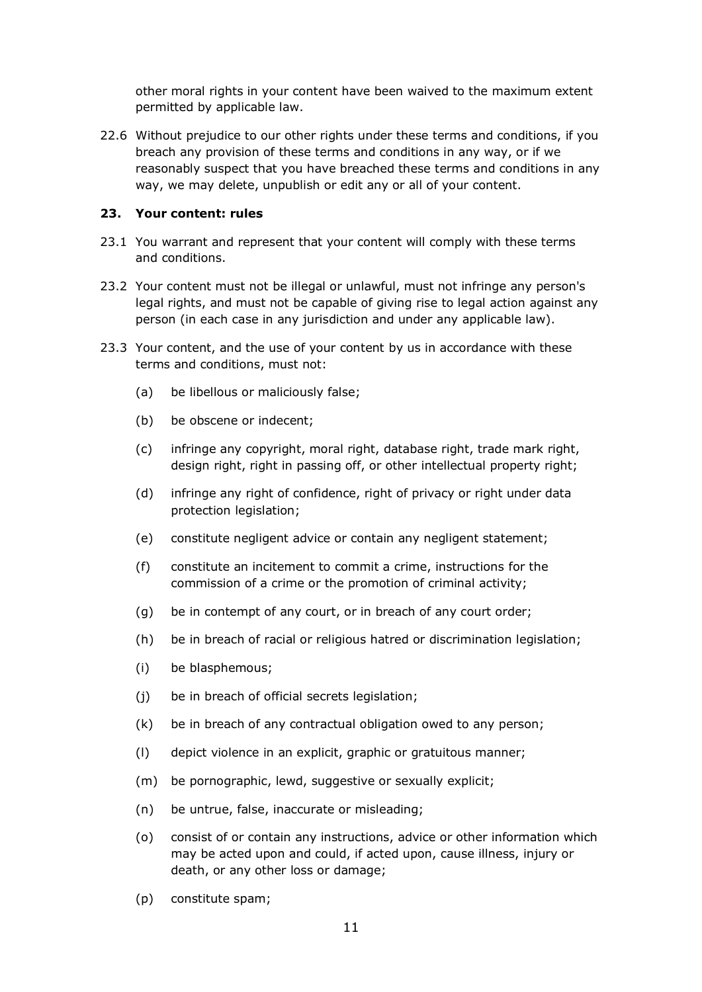other moral rights in your content have been waived to the maximum extent permitted by applicable law.

22.6 Without prejudice to our other rights under these terms and conditions, if you breach any provision of these terms and conditions in any way, or if we reasonably suspect that you have breached these terms and conditions in any way, we may delete, unpublish or edit any or all of your content.

#### **23. Your content: rules**

- 23.1 You warrant and represent that your content will comply with these terms and conditions.
- 23.2 Your content must not be illegal or unlawful, must not infringe any person's legal rights, and must not be capable of giving rise to legal action against any person (in each case in any jurisdiction and under any applicable law).
- 23.3 Your content, and the use of your content by us in accordance with these terms and conditions, must not:
	- (a) be libellous or maliciously false;
	- (b) be obscene or indecent;
	- (c) infringe any copyright, moral right, database right, trade mark right, design right, right in passing off, or other intellectual property right;
	- (d) infringe any right of confidence, right of privacy or right under data protection legislation;
	- (e) constitute negligent advice or contain any negligent statement;
	- (f) constitute an incitement to commit a crime, instructions for the commission of a crime or the promotion of criminal activity;
	- (g) be in contempt of any court, or in breach of any court order;
	- (h) be in breach of racial or religious hatred or discrimination legislation;
	- (i) be blasphemous;
	- (j) be in breach of official secrets legislation;
	- (k) be in breach of any contractual obligation owed to any person;
	- (l) depict violence in an explicit, graphic or gratuitous manner;
	- (m) be pornographic, lewd, suggestive or sexually explicit;
	- (n) be untrue, false, inaccurate or misleading;
	- (o) consist of or contain any instructions, advice or other information which may be acted upon and could, if acted upon, cause illness, injury or death, or any other loss or damage;
	- (p) constitute spam;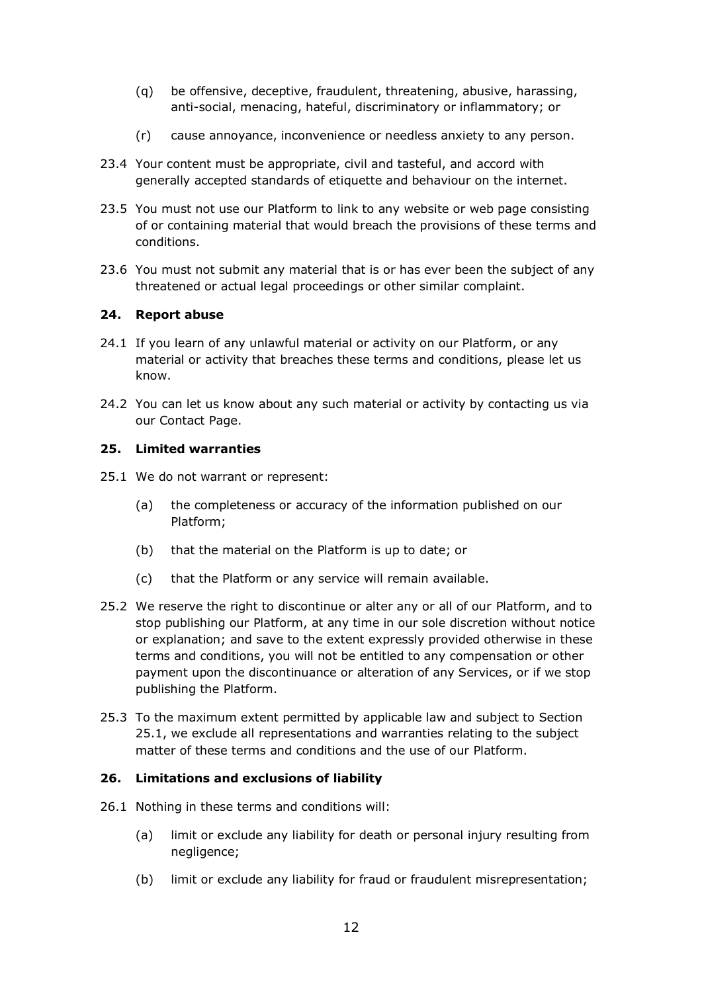- (q) be offensive, deceptive, fraudulent, threatening, abusive, harassing, anti-social, menacing, hateful, discriminatory or inflammatory; or
- (r) cause annoyance, inconvenience or needless anxiety to any person.
- 23.4 Your content must be appropriate, civil and tasteful, and accord with generally accepted standards of etiquette and behaviour on the internet.
- 23.5 You must not use our Platform to link to any website or web page consisting of or containing material that would breach the provisions of these terms and conditions.
- 23.6 You must not submit any material that is or has ever been the subject of any threatened or actual legal proceedings or other similar complaint.

#### **24. Report abuse**

- 24.1 If you learn of any unlawful material or activity on our Platform, or any material or activity that breaches these terms and conditions, please let us know.
- 24.2 You can let us know about any such material or activity by contacting us via our Contact Page.

#### **25. Limited warranties**

- 25.1 We do not warrant or represent:
	- (a) the completeness or accuracy of the information published on our Platform;
	- (b) that the material on the Platform is up to date; or
	- (c) that the Platform or any service will remain available.
- 25.2 We reserve the right to discontinue or alter any or all of our Platform, and to stop publishing our Platform, at any time in our sole discretion without notice or explanation; and save to the extent expressly provided otherwise in these terms and conditions, you will not be entitled to any compensation or other payment upon the discontinuance or alteration of any Services, or if we stop publishing the Platform.
- 25.3 To the maximum extent permitted by applicable law and subject to Section 25.1, we exclude all representations and warranties relating to the subject matter of these terms and conditions and the use of our Platform.

#### **26. Limitations and exclusions of liability**

- 26.1 Nothing in these terms and conditions will:
	- (a) limit or exclude any liability for death or personal injury resulting from negligence;
	- (b) limit or exclude any liability for fraud or fraudulent misrepresentation;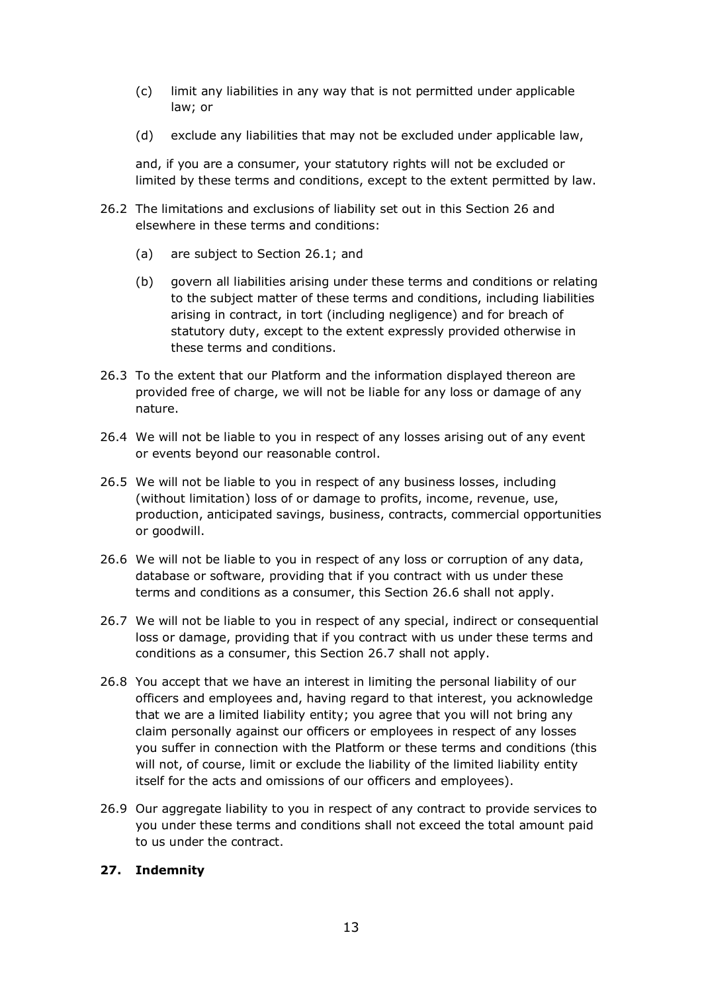- (c) limit any liabilities in any way that is not permitted under applicable law; or
- (d) exclude any liabilities that may not be excluded under applicable law,

and, if you are a consumer, your statutory rights will not be excluded or limited by these terms and conditions, except to the extent permitted by law.

- 26.2 The limitations and exclusions of liability set out in this Section 26 and elsewhere in these terms and conditions:
	- (a) are subject to Section 26.1; and
	- (b) govern all liabilities arising under these terms and conditions or relating to the subject matter of these terms and conditions, including liabilities arising in contract, in tort (including negligence) and for breach of statutory duty, except to the extent expressly provided otherwise in these terms and conditions.
- 26.3 To the extent that our Platform and the information displayed thereon are provided free of charge, we will not be liable for any loss or damage of any nature.
- 26.4 We will not be liable to you in respect of any losses arising out of any event or events beyond our reasonable control.
- 26.5 We will not be liable to you in respect of any business losses, including (without limitation) loss of or damage to profits, income, revenue, use, production, anticipated savings, business, contracts, commercial opportunities or goodwill.
- 26.6 We will not be liable to you in respect of any loss or corruption of any data, database or software, providing that if you contract with us under these terms and conditions as a consumer, this Section 26.6 shall not apply.
- 26.7 We will not be liable to you in respect of any special, indirect or consequential loss or damage, providing that if you contract with us under these terms and conditions as a consumer, this Section 26.7 shall not apply.
- 26.8 You accept that we have an interest in limiting the personal liability of our officers and employees and, having regard to that interest, you acknowledge that we are a limited liability entity; you agree that you will not bring any claim personally against our officers or employees in respect of any losses you suffer in connection with the Platform or these terms and conditions (this will not, of course, limit or exclude the liability of the limited liability entity itself for the acts and omissions of our officers and employees).
- 26.9 Our aggregate liability to you in respect of any contract to provide services to you under these terms and conditions shall not exceed the total amount paid to us under the contract.

#### **27. Indemnity**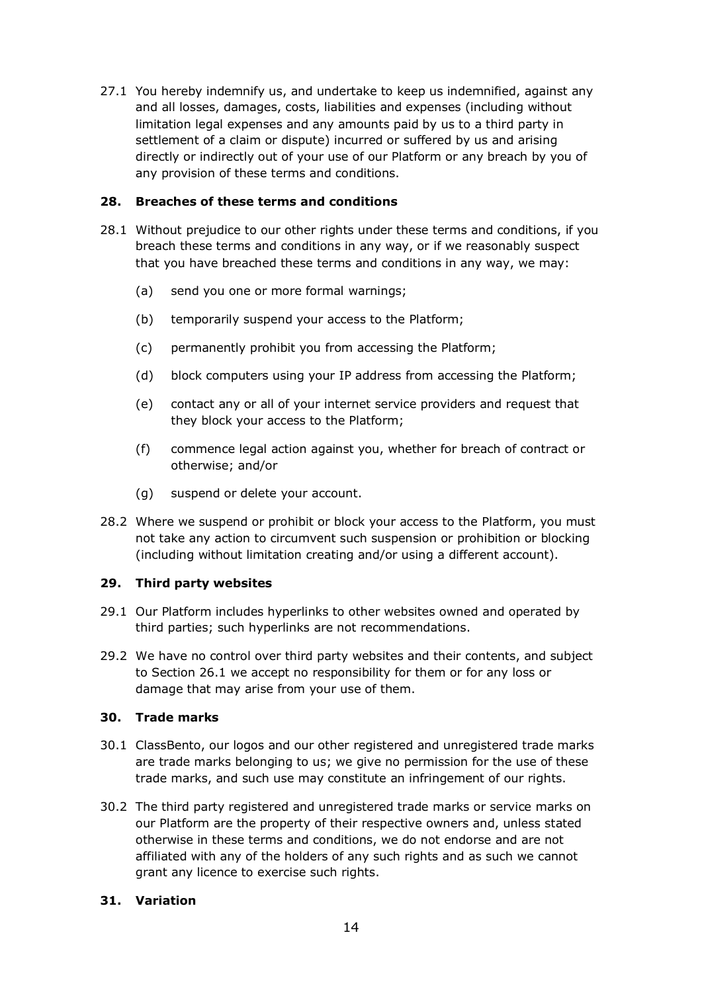27.1 You hereby indemnify us, and undertake to keep us indemnified, against any and all losses, damages, costs, liabilities and expenses (including without limitation legal expenses and any amounts paid by us to a third party in settlement of a claim or dispute) incurred or suffered by us and arising directly or indirectly out of your use of our Platform or any breach by you of any provision of these terms and conditions.

#### **28. Breaches of these terms and conditions**

- 28.1 Without prejudice to our other rights under these terms and conditions, if you breach these terms and conditions in any way, or if we reasonably suspect that you have breached these terms and conditions in any way, we may:
	- (a) send you one or more formal warnings;
	- (b) temporarily suspend your access to the Platform;
	- (c) permanently prohibit you from accessing the Platform;
	- (d) block computers using your IP address from accessing the Platform;
	- (e) contact any or all of your internet service providers and request that they block your access to the Platform;
	- (f) commence legal action against you, whether for breach of contract or otherwise; and/or
	- (g) suspend or delete your account.
- 28.2 Where we suspend or prohibit or block your access to the Platform, you must not take any action to circumvent such suspension or prohibition or blocking (including without limitation creating and/or using a different account).

#### **29. Third party websites**

- 29.1 Our Platform includes hyperlinks to other websites owned and operated by third parties; such hyperlinks are not recommendations.
- 29.2 We have no control over third party websites and their contents, and subject to Section 26.1 we accept no responsibility for them or for any loss or damage that may arise from your use of them.

#### **30. Trade marks**

- 30.1 ClassBento, our logos and our other registered and unregistered trade marks are trade marks belonging to us; we give no permission for the use of these trade marks, and such use may constitute an infringement of our rights.
- 30.2 The third party registered and unregistered trade marks or service marks on our Platform are the property of their respective owners and, unless stated otherwise in these terms and conditions, we do not endorse and are not affiliated with any of the holders of any such rights and as such we cannot grant any licence to exercise such rights.

#### **31. Variation**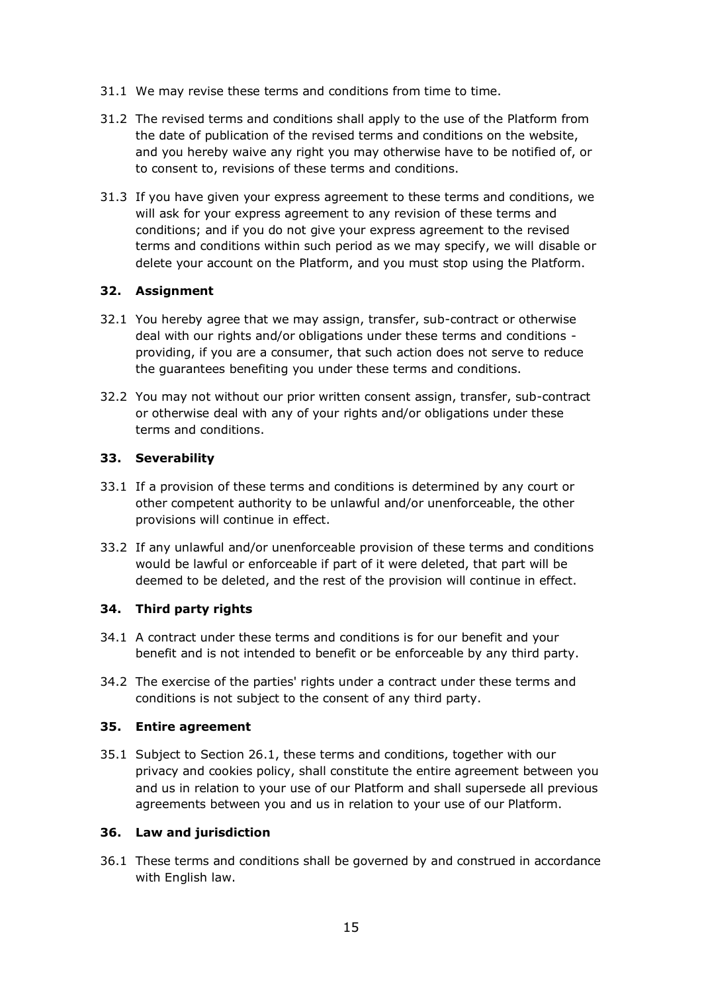- 31.1 We may revise these terms and conditions from time to time.
- 31.2 The revised terms and conditions shall apply to the use of the Platform from the date of publication of the revised terms and conditions on the website, and you hereby waive any right you may otherwise have to be notified of, or to consent to, revisions of these terms and conditions.
- 31.3 If you have given your express agreement to these terms and conditions, we will ask for your express agreement to any revision of these terms and conditions; and if you do not give your express agreement to the revised terms and conditions within such period as we may specify, we will disable or delete your account on the Platform, and you must stop using the Platform.

#### **32. Assignment**

- 32.1 You hereby agree that we may assign, transfer, sub-contract or otherwise deal with our rights and/or obligations under these terms and conditions providing, if you are a consumer, that such action does not serve to reduce the guarantees benefiting you under these terms and conditions.
- 32.2 You may not without our prior written consent assign, transfer, sub-contract or otherwise deal with any of your rights and/or obligations under these terms and conditions.

#### **33. Severability**

- 33.1 If a provision of these terms and conditions is determined by any court or other competent authority to be unlawful and/or unenforceable, the other provisions will continue in effect.
- 33.2 If any unlawful and/or unenforceable provision of these terms and conditions would be lawful or enforceable if part of it were deleted, that part will be deemed to be deleted, and the rest of the provision will continue in effect.

#### **34. Third party rights**

- 34.1 A contract under these terms and conditions is for our benefit and your benefit and is not intended to benefit or be enforceable by any third party.
- 34.2 The exercise of the parties' rights under a contract under these terms and conditions is not subject to the consent of any third party.

#### **35. Entire agreement**

35.1 Subject to Section 26.1, these terms and conditions, together with our privacy and cookies policy, shall constitute the entire agreement between you and us in relation to your use of our Platform and shall supersede all previous agreements between you and us in relation to your use of our Platform.

#### **36. Law and jurisdiction**

36.1 These terms and conditions shall be governed by and construed in accordance with English law.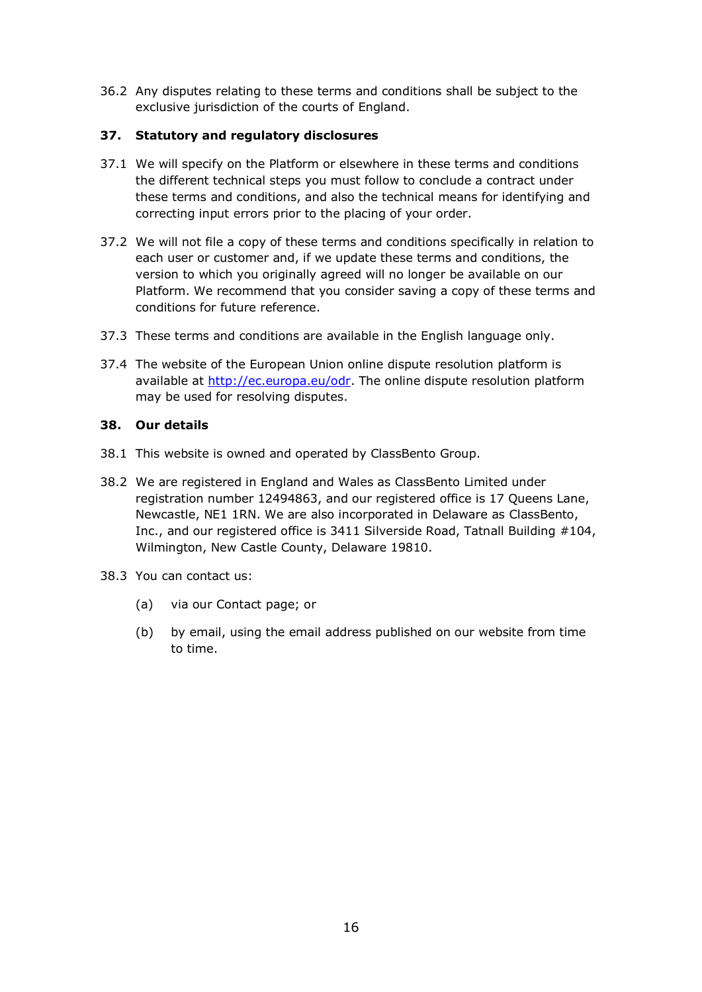36.2 Any disputes relating to these terms and conditions shall be subject to the exclusive jurisdiction of the courts of England.

#### **37. Statutory and regulatory disclosures**

- 37.1 We will specify on the Platform or elsewhere in these terms and conditions the different technical steps you must follow to conclude a contract under these terms and conditions, and also the technical means for identifying and correcting input errors prior to the placing of your order.
- 37.2 We will not file a copy of these terms and conditions specifically in relation to each user or customer and, if we update these terms and conditions, the version to which you originally agreed will no longer be available on our Platform. We recommend that you consider saving a copy of these terms and conditions for future reference.
- 37.3 These terms and conditions are available in the English language only.
- 37.4 The website of the European Union online dispute resolution platform is available at [http://ec.europa.eu/odr.](about:blank) The online dispute resolution platform may be used for resolving disputes.

#### **38. Our details**

- 38.1 This website is owned and operated by ClassBento Group.
- 38.2 We are registered in England and Wales as ClassBento Limited under registration number 12494863, and our registered office is 17 Queens Lane, Newcastle, NE1 1RN. We are also incorporated in Delaware as ClassBento, Inc., and our registered office is 3411 Silverside Road, Tatnall Building #104, Wilmington, New Castle County, Delaware 19810.
- 38.3 You can contact us:
	- (a) via our Contact page; or
	- (b) by email, using the email address published on our website from time to time.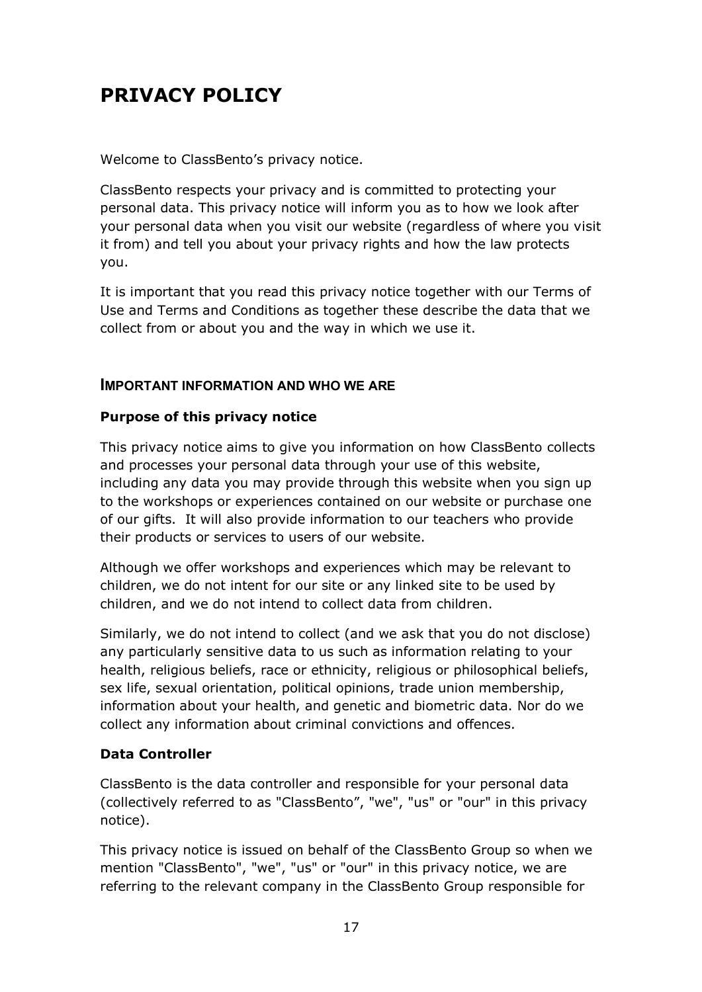# **PRIVACY POLICY**

Welcome to ClassBento's privacy notice.

ClassBento respects your privacy and is committed to protecting your personal data. This privacy notice will inform you as to how we look after your personal data when you visit our website (regardless of where you visit it from) and tell you about your privacy rights and how the law protects you.

It is important that you read this privacy notice together with our Terms of Use and Terms and Conditions as together these describe the data that we collect from or about you and the way in which we use it.

# **IMPORTANT INFORMATION AND WHO WE ARE**

# **Purpose of this privacy notice**

This privacy notice aims to give you information on how ClassBento collects and processes your personal data through your use of this website, including any data you may provide through this website when you sign up to the workshops or experiences contained on our website or purchase one of our gifts. It will also provide information to our teachers who provide their products or services to users of our website.

Although we offer workshops and experiences which may be relevant to children, we do not intent for our site or any linked site to be used by children, and we do not intend to collect data from children.

Similarly, we do not intend to collect (and we ask that you do not disclose) any particularly sensitive data to us such as information relating to your health, religious beliefs, race or ethnicity, religious or philosophical beliefs, sex life, sexual orientation, political opinions, trade union membership, information about your health, and genetic and biometric data. Nor do we collect any information about criminal convictions and offences.

# **Data Controller**

ClassBento is the data controller and responsible for your personal data (collectively referred to as "ClassBento", "we", "us" or "our" in this privacy notice).

This privacy notice is issued on behalf of the ClassBento Group so when we mention "ClassBento", "we", "us" or "our" in this privacy notice, we are referring to the relevant company in the ClassBento Group responsible for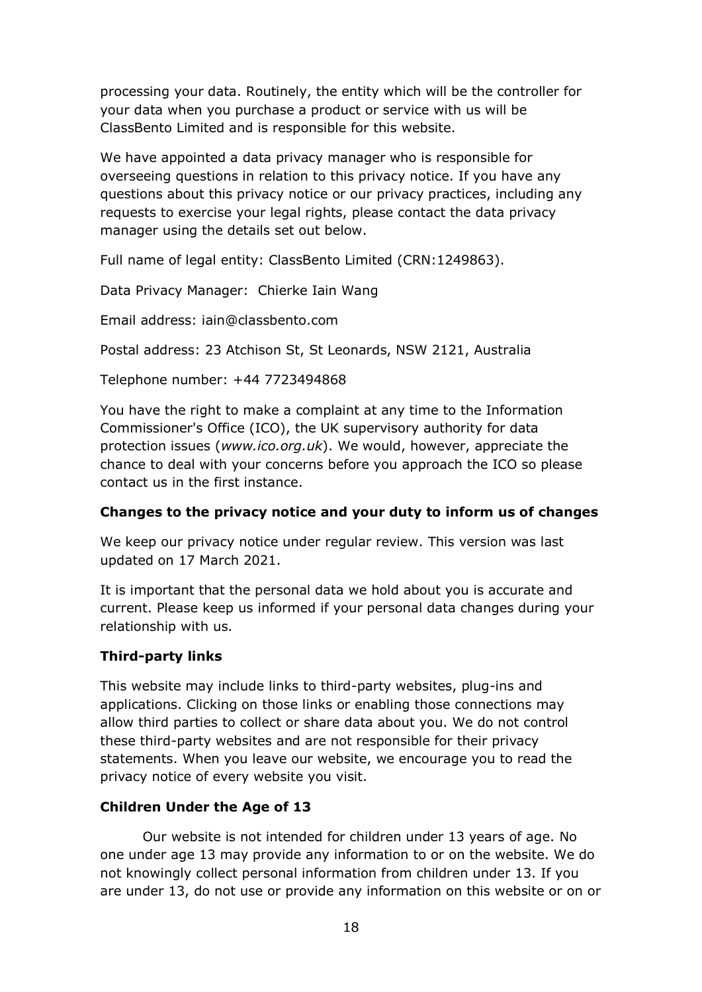processing your data. Routinely, the entity which will be the controller for your data when you purchase a product or service with us will be ClassBento Limited and is responsible for this website.

We have appointed a data privacy manager who is responsible for overseeing questions in relation to this privacy notice. If you have any questions about this privacy notice or our privacy practices, including any requests to exercise your legal rights, please contact the data privacy manager using the details set out below.

Full name of legal entity: ClassBento Limited (CRN:1249863).

Data Privacy Manager: Chierke Iain Wang

Email address: iain@classbento.com

Postal address: 23 Atchison St, St Leonards, NSW 2121, Australia

Telephone number: +44 7723494868

You have the right to make a complaint at any time to the Information Commissioner's Office (ICO), the UK supervisory authority for data protection issues (*www.ico.org.uk*). We would, however, appreciate the chance to deal with your concerns before you approach the ICO so please contact us in the first instance.

# **Changes to the privacy notice and your duty to inform us of changes**

We keep our privacy notice under regular review. This version was last updated on 17 March 2021.

It is important that the personal data we hold about you is accurate and current. Please keep us informed if your personal data changes during your relationship with us.

# **Third-party links**

This website may include links to third-party websites, plug-ins and applications. Clicking on those links or enabling those connections may allow third parties to collect or share data about you. We do not control these third-party websites and are not responsible for their privacy statements. When you leave our website, we encourage you to read the privacy notice of every website you visit.

# **Children Under the Age of 13**

Our website is not intended for children under 13 years of age. No one under age 13 may provide any information to or on the website. We do not knowingly collect personal information from children under 13. If you are under 13, do not use or provide any information on this website or on or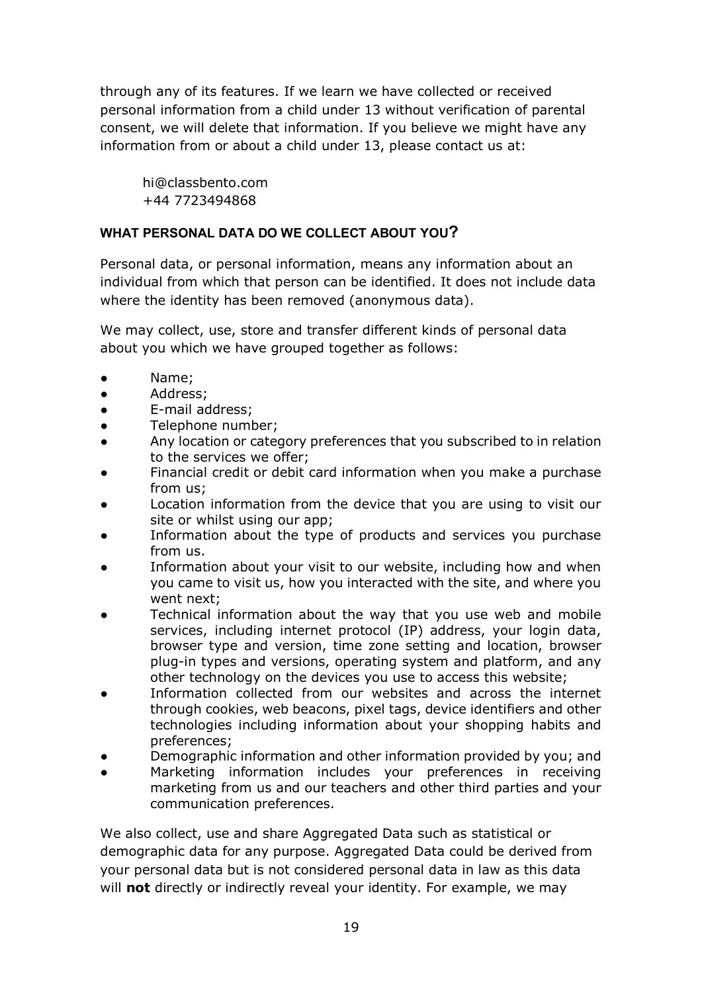through any of its features. If we learn we have collected or received personal information from a child under 13 without verification of parental consent, we will delete that information. If you believe we might have any information from or about a child under 13, please contact us at:

hi@classbento.com +44 7723494868

# **WHAT PERSONAL DATA DO WE COLLECT ABOUT YOU?**

Personal data, or personal information, means any information about an individual from which that person can be identified. It does not include data where the identity has been removed (anonymous data).

We may collect, use, store and transfer different kinds of personal data about you which we have grouped together as follows:

- Name;
- Address;
- E-mail address;
- Telephone number;
- Any location or category preferences that you subscribed to in relation to the services we offer;
- Financial credit or debit card information when you make a purchase from us;
- Location information from the device that you are using to visit our site or whilst using our app;
- Information about the type of products and services you purchase from us.
- Information about your visit to our website, including how and when you came to visit us, how you interacted with the site, and where you went next;
- Technical information about the way that you use web and mobile services, including internet protocol (IP) address, your login data, browser type and version, time zone setting and location, browser plug-in types and versions, operating system and platform, and any other technology on the devices you use to access this website;
- Information collected from our websites and across the internet through cookies, web beacons, pixel tags, device identifiers and other technologies including information about your shopping habits and preferences;
- Demographic information and other information provided by you; and
- Marketing information includes your preferences in receiving marketing from us and our teachers and other third parties and your communication preferences.

We also collect, use and share Aggregated Data such as statistical or demographic data for any purpose. Aggregated Data could be derived from your personal data but is not considered personal data in law as this data will **not** directly or indirectly reveal your identity. For example, we may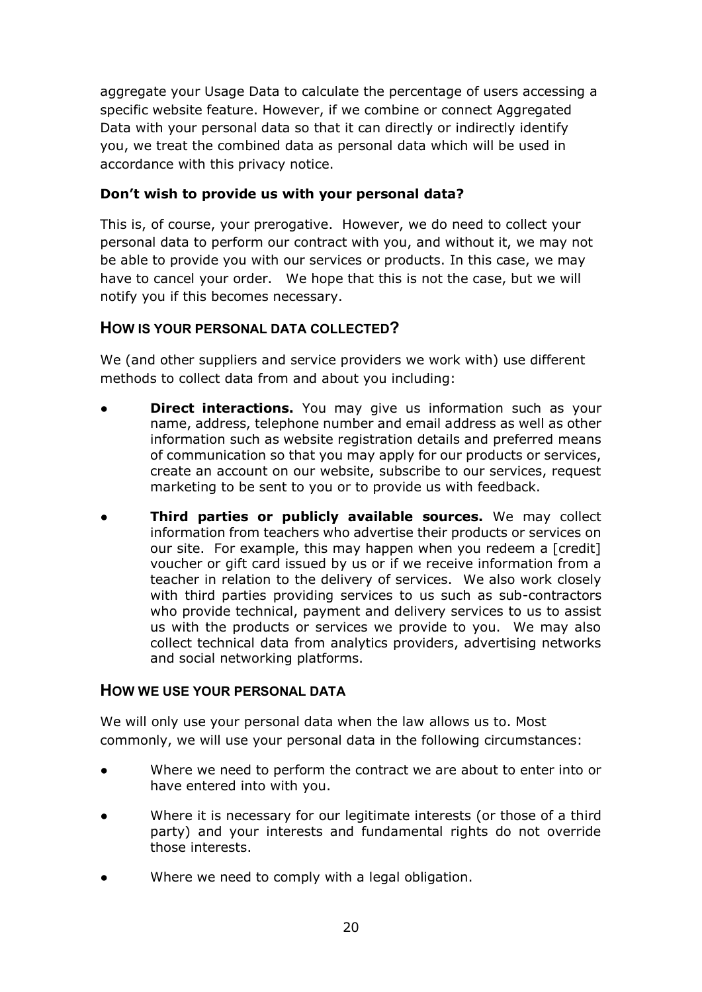aggregate your Usage Data to calculate the percentage of users accessing a specific website feature. However, if we combine or connect Aggregated Data with your personal data so that it can directly or indirectly identify you, we treat the combined data as personal data which will be used in accordance with this privacy notice.

# **Don't wish to provide us with your personal data?**

This is, of course, your prerogative. However, we do need to collect your personal data to perform our contract with you, and without it, we may not be able to provide you with our services or products. In this case, we may have to cancel your order. We hope that this is not the case, but we will notify you if this becomes necessary.

# **HOW IS YOUR PERSONAL DATA COLLECTED?**

We (and other suppliers and service providers we work with) use different methods to collect data from and about you including:

- **Direct interactions.** You may give us information such as your name, address, telephone number and email address as well as other information such as website registration details and preferred means of communication so that you may apply for our products or services, create an account on our website, subscribe to our services, request marketing to be sent to you or to provide us with feedback.
- **Third parties or publicly available sources.** We may collect information from teachers who advertise their products or services on our site. For example, this may happen when you redeem a [credit] voucher or gift card issued by us or if we receive information from a teacher in relation to the delivery of services. We also work closely with third parties providing services to us such as sub-contractors who provide technical, payment and delivery services to us to assist us with the products or services we provide to you. We may also collect technical data from analytics providers, advertising networks and social networking platforms.

# **HOW WE USE YOUR PERSONAL DATA**

We will only use your personal data when the law allows us to. Most commonly, we will use your personal data in the following circumstances:

- Where we need to perform the contract we are about to enter into or have entered into with you.
- Where it is necessary for our legitimate interests (or those of a third party) and your interests and fundamental rights do not override those interests.
- Where we need to comply with a legal obligation.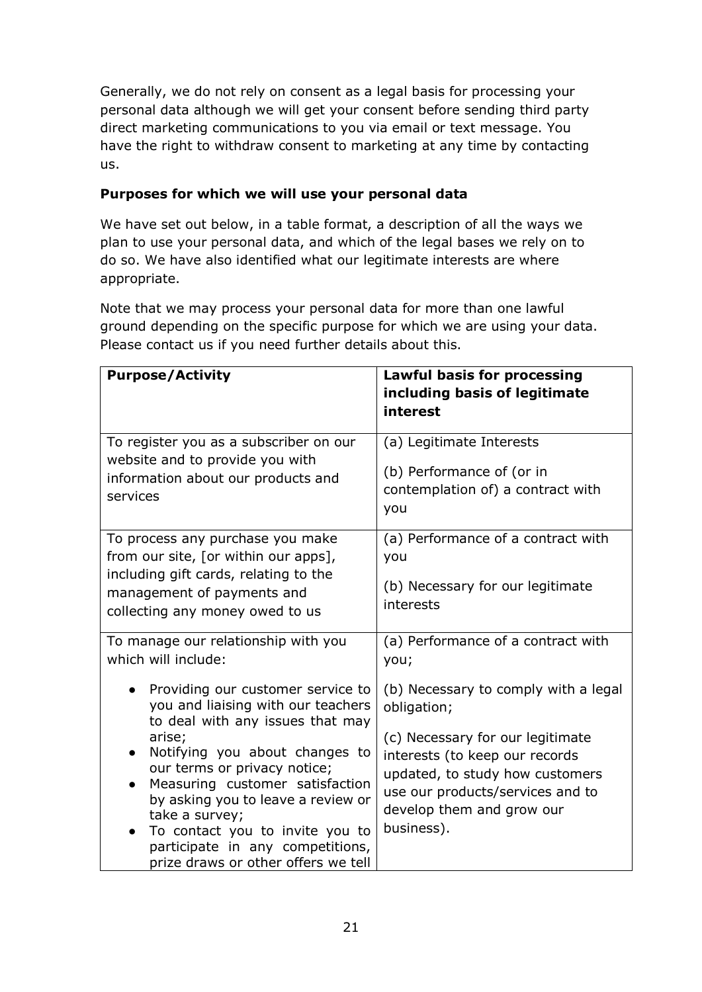Generally, we do not rely on consent as a legal basis for processing your personal data although we will get your consent before sending third party direct marketing communications to you via email or text message. You have the right to withdraw consent to marketing at any time by contacting us.

# **Purposes for which we will use your personal data**

We have set out below, in a table format, a description of all the ways we plan to use your personal data, and which of the legal bases we rely on to do so. We have also identified what our legitimate interests are where appropriate.

Note that we may process your personal data for more than one lawful ground depending on the specific purpose for which we are using your data. Please contact us if you need further details about this.

| <b>Purpose/Activity</b>                                                                                                                                                                                                                                                                                                                                                                                                                                        | <b>Lawful basis for processing</b><br>including basis of legitimate<br>interest                                                                                                                                                                                                           |
|----------------------------------------------------------------------------------------------------------------------------------------------------------------------------------------------------------------------------------------------------------------------------------------------------------------------------------------------------------------------------------------------------------------------------------------------------------------|-------------------------------------------------------------------------------------------------------------------------------------------------------------------------------------------------------------------------------------------------------------------------------------------|
| To register you as a subscriber on our<br>website and to provide you with<br>information about our products and<br>services                                                                                                                                                                                                                                                                                                                                    | (a) Legitimate Interests<br>(b) Performance of (or in<br>contemplation of) a contract with<br>you                                                                                                                                                                                         |
| To process any purchase you make<br>from our site, [or within our apps],<br>including gift cards, relating to the<br>management of payments and<br>collecting any money owed to us                                                                                                                                                                                                                                                                             | (a) Performance of a contract with<br>you<br>(b) Necessary for our legitimate<br>interests                                                                                                                                                                                                |
| To manage our relationship with you<br>which will include:<br>Providing our customer service to<br>you and liaising with our teachers<br>to deal with any issues that may<br>arise;<br>Notifying you about changes to<br>our terms or privacy notice;<br>Measuring customer satisfaction<br>by asking you to leave a review or<br>take a survey;<br>To contact you to invite you to<br>participate in any competitions,<br>prize draws or other offers we tell | (a) Performance of a contract with<br>you;<br>(b) Necessary to comply with a legal<br>obligation;<br>(c) Necessary for our legitimate<br>interests (to keep our records<br>updated, to study how customers<br>use our products/services and to<br>develop them and grow our<br>business). |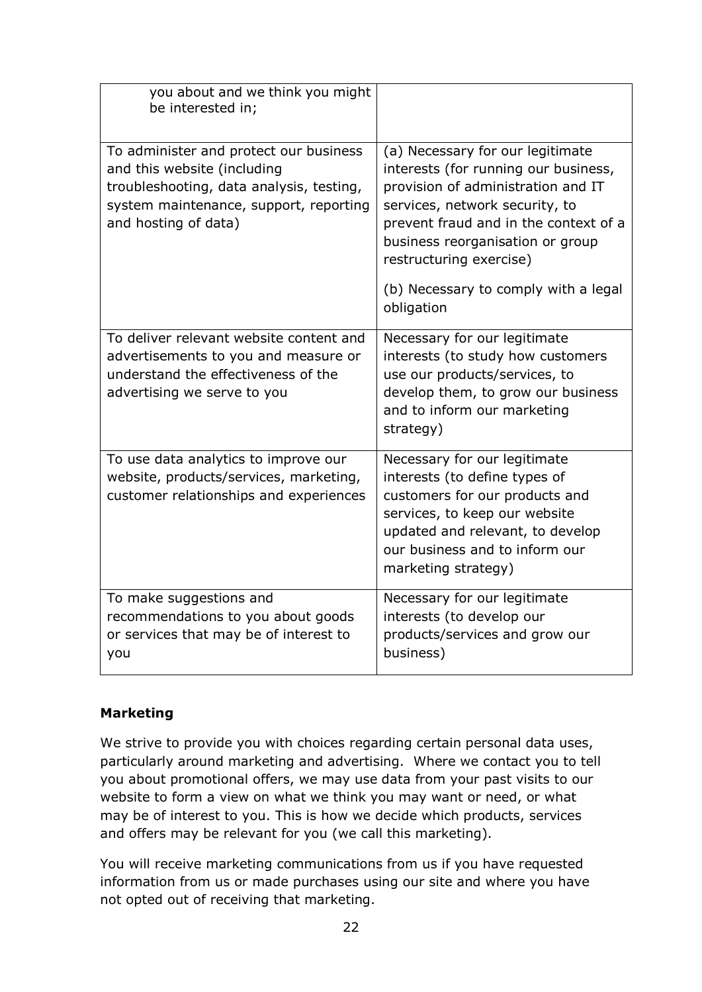| you about and we think you might<br>be interested in;                                                                                                                               |                                                                                                                                                                                                                                                          |
|-------------------------------------------------------------------------------------------------------------------------------------------------------------------------------------|----------------------------------------------------------------------------------------------------------------------------------------------------------------------------------------------------------------------------------------------------------|
| To administer and protect our business<br>and this website (including<br>troubleshooting, data analysis, testing,<br>system maintenance, support, reporting<br>and hosting of data) | (a) Necessary for our legitimate<br>interests (for running our business,<br>provision of administration and IT<br>services, network security, to<br>prevent fraud and in the context of a<br>business reorganisation or group<br>restructuring exercise) |
|                                                                                                                                                                                     | (b) Necessary to comply with a legal<br>obligation                                                                                                                                                                                                       |
| To deliver relevant website content and<br>advertisements to you and measure or<br>understand the effectiveness of the<br>advertising we serve to you                               | Necessary for our legitimate<br>interests (to study how customers<br>use our products/services, to<br>develop them, to grow our business<br>and to inform our marketing<br>strategy)                                                                     |
| To use data analytics to improve our<br>website, products/services, marketing,<br>customer relationships and experiences                                                            | Necessary for our legitimate<br>interests (to define types of<br>customers for our products and<br>services, to keep our website<br>updated and relevant, to develop<br>our business and to inform our<br>marketing strategy)                            |
| To make suggestions and<br>recommendations to you about goods<br>or services that may be of interest to<br>you                                                                      | Necessary for our legitimate<br>interests (to develop our<br>products/services and grow our<br>business)                                                                                                                                                 |

# **Marketing**

We strive to provide you with choices regarding certain personal data uses, particularly around marketing and advertising. Where we contact you to tell you about promotional offers, we may use data from your past visits to our website to form a view on what we think you may want or need, or what may be of interest to you. This is how we decide which products, services and offers may be relevant for you (we call this marketing).

You will receive marketing communications from us if you have requested information from us or made purchases using our site and where you have not opted out of receiving that marketing.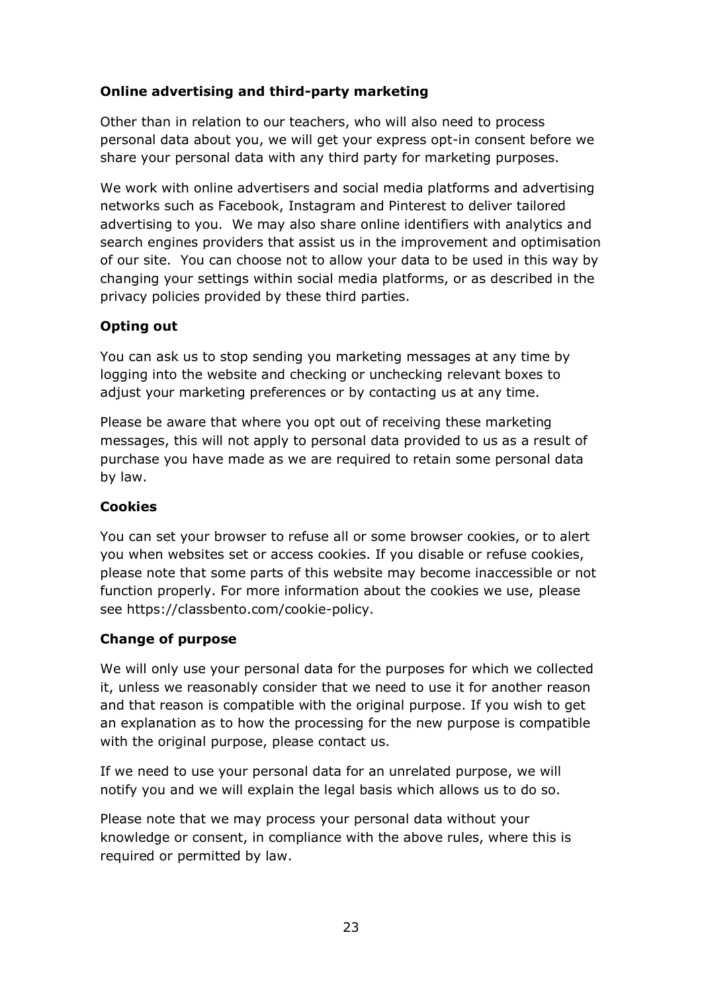# **Online advertising and third-party marketing**

Other than in relation to our teachers, who will also need to process personal data about you, we will get your express opt-in consent before we share your personal data with any third party for marketing purposes.

We work with online advertisers and social media platforms and advertising networks such as Facebook, Instagram and Pinterest to deliver tailored advertising to you. We may also share online identifiers with analytics and search engines providers that assist us in the improvement and optimisation of our site. You can choose not to allow your data to be used in this way by changing your settings within social media platforms, or as described in the privacy policies provided by these third parties.

# **Opting out**

You can ask us to stop sending you marketing messages at any time by logging into the website and checking or unchecking relevant boxes to adjust your marketing preferences or by contacting us at any time.

Please be aware that where you opt out of receiving these marketing messages, this will not apply to personal data provided to us as a result of purchase you have made as we are required to retain some personal data by law.

# **Cookies**

You can set your browser to refuse all or some browser cookies, or to alert you when websites set or access cookies. If you disable or refuse cookies, please note that some parts of this website may become inaccessible or not function properly. For more information about the cookies we use, please see https://classbento.com/cookie-policy.

# **Change of purpose**

We will only use your personal data for the purposes for which we collected it, unless we reasonably consider that we need to use it for another reason and that reason is compatible with the original purpose. If you wish to get an explanation as to how the processing for the new purpose is compatible with the original purpose, please contact us.

If we need to use your personal data for an unrelated purpose, we will notify you and we will explain the legal basis which allows us to do so.

Please note that we may process your personal data without your knowledge or consent, in compliance with the above rules, where this is required or permitted by law.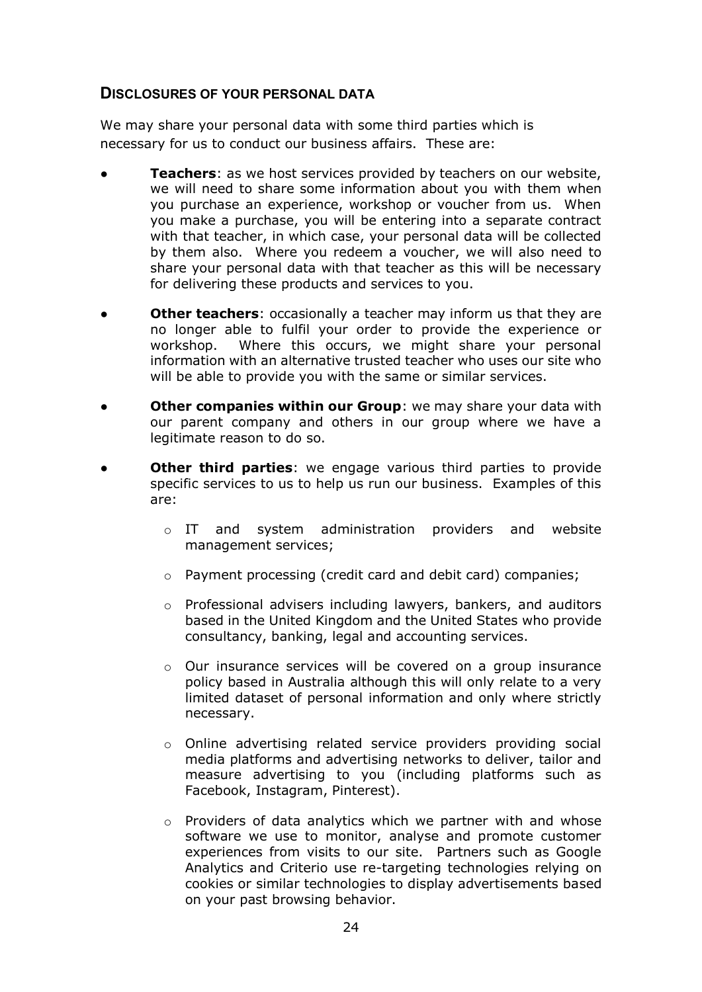# **DISCLOSURES OF YOUR PERSONAL DATA**

We may share your personal data with some third parties which is necessary for us to conduct our business affairs. These are:

- **Teachers:** as we host services provided by teachers on our website, we will need to share some information about you with them when you purchase an experience, workshop or voucher from us. When you make a purchase, you will be entering into a separate contract with that teacher, in which case, your personal data will be collected by them also. Where you redeem a voucher, we will also need to share your personal data with that teacher as this will be necessary for delivering these products and services to you.
- **Other teachers:** occasionally a teacher may inform us that they are no longer able to fulfil your order to provide the experience or workshop. Where this occurs, we might share your personal information with an alternative trusted teacher who uses our site who will be able to provide you with the same or similar services.
- **Other companies within our Group**: we may share your data with our parent company and others in our group where we have a legitimate reason to do so.
- **Other third parties:** we engage various third parties to provide specific services to us to help us run our business. Examples of this are:
	- o IT and system administration providers and website management services;
	- o Payment processing (credit card and debit card) companies;
	- o Professional advisers including lawyers, bankers, and auditors based in the United Kingdom and the United States who provide consultancy, banking, legal and accounting services.
	- o Our insurance services will be covered on a group insurance policy based in Australia although this will only relate to a very limited dataset of personal information and only where strictly necessary.
	- $\circ$  Online advertising related service providers providing social media platforms and advertising networks to deliver, tailor and measure advertising to you (including platforms such as Facebook, Instagram, Pinterest).
	- o Providers of data analytics which we partner with and whose software we use to monitor, analyse and promote customer experiences from visits to our site. Partners such as Google Analytics and Criterio use re-targeting technologies relying on cookies or similar technologies to display advertisements based on your past browsing behavior.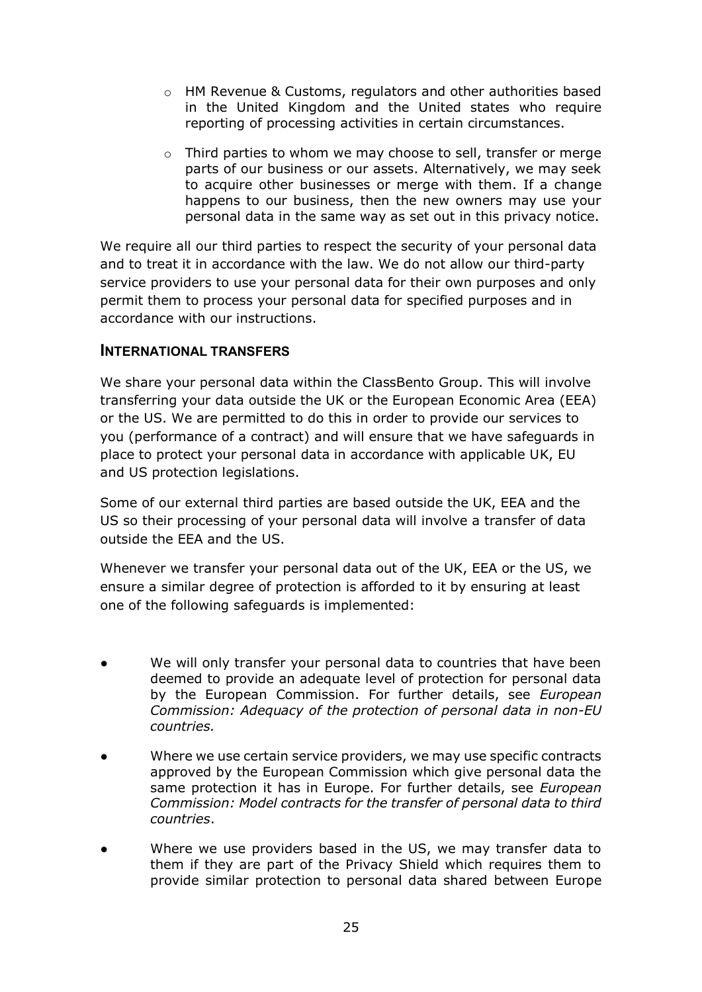- o HM Revenue & Customs, regulators and other authorities based in the United Kingdom and the United states who require reporting of processing activities in certain circumstances.
- o Third parties to whom we may choose to sell, transfer or merge parts of our business or our assets. Alternatively, we may seek to acquire other businesses or merge with them. If a change happens to our business, then the new owners may use your personal data in the same way as set out in this privacy notice.

We require all our third parties to respect the security of your personal data and to treat it in accordance with the law. We do not allow our third-party service providers to use your personal data for their own purposes and only permit them to process your personal data for specified purposes and in accordance with our instructions.

# **INTERNATIONAL TRANSFERS**

We share your personal data within the ClassBento Group. This will involve transferring your data outside the UK or the European Economic Area (EEA) or the US. We are permitted to do this in order to provide our services to you (performance of a contract) and will ensure that we have safeguards in place to protect your personal data in accordance with applicable UK, EU and US protection legislations.

Some of our external third parties are based outside the UK, EEA and the US so their processing of your personal data will involve a transfer of data outside the EEA and the US.

Whenever we transfer your personal data out of the UK, EEA or the US, we ensure a similar degree of protection is afforded to it by ensuring at least one of the following safeguards is implemented:

- We will only transfer your personal data to countries that have been deemed to provide an adequate level of protection for personal data by the European Commission. For further details, see *European Commission: Adequacy of the protection of personal data in non-EU countries.*
- Where we use certain service providers, we may use specific contracts approved by the European Commission which give personal data the same protection it has in Europe. For further details, see *European Commission: Model contracts for the transfer of personal data to third countries*.
- Where we use providers based in the US, we may transfer data to them if they are part of the Privacy Shield which requires them to provide similar protection to personal data shared between Europe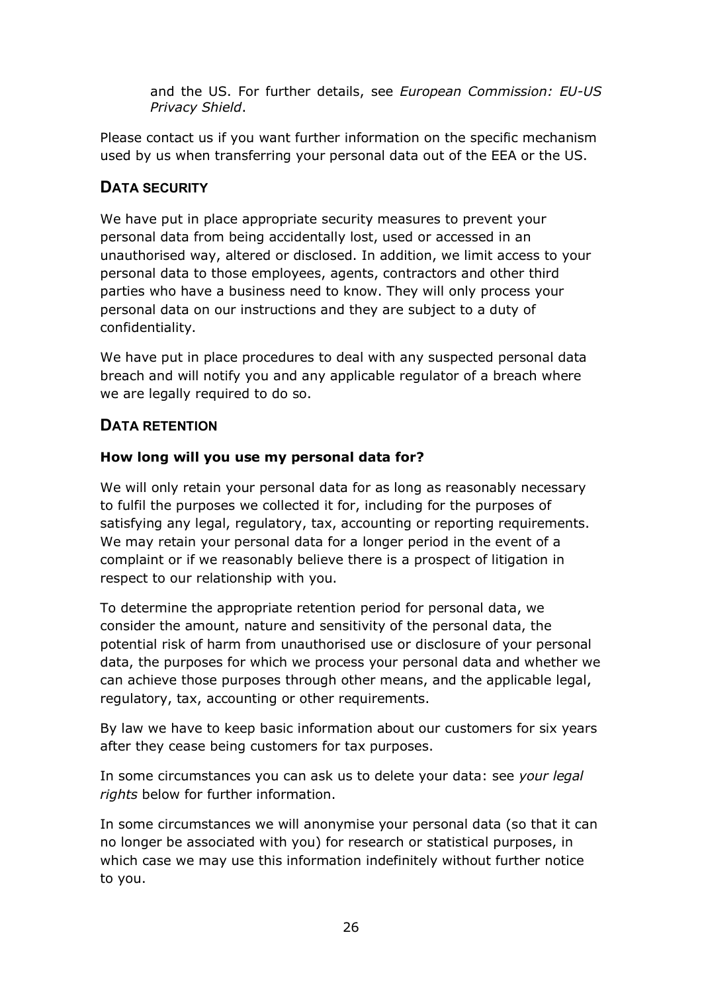and the US. For further details, see *European Commission: EU-US Privacy Shield*.

Please contact us if you want further information on the specific mechanism used by us when transferring your personal data out of the EEA or the US.

# **DATA SECURITY**

We have put in place appropriate security measures to prevent your personal data from being accidentally lost, used or accessed in an unauthorised way, altered or disclosed. In addition, we limit access to your personal data to those employees, agents, contractors and other third parties who have a business need to know. They will only process your personal data on our instructions and they are subject to a duty of confidentiality.

We have put in place procedures to deal with any suspected personal data breach and will notify you and any applicable regulator of a breach where we are legally required to do so.

# **DATA RETENTION**

# **How long will you use my personal data for?**

We will only retain your personal data for as long as reasonably necessary to fulfil the purposes we collected it for, including for the purposes of satisfying any legal, regulatory, tax, accounting or reporting requirements. We may retain your personal data for a longer period in the event of a complaint or if we reasonably believe there is a prospect of litigation in respect to our relationship with you.

To determine the appropriate retention period for personal data, we consider the amount, nature and sensitivity of the personal data, the potential risk of harm from unauthorised use or disclosure of your personal data, the purposes for which we process your personal data and whether we can achieve those purposes through other means, and the applicable legal, regulatory, tax, accounting or other requirements.

By law we have to keep basic information about our customers for six years after they cease being customers for tax purposes.

In some circumstances you can ask us to delete your data: see *your legal rights* below for further information.

In some circumstances we will anonymise your personal data (so that it can no longer be associated with you) for research or statistical purposes, in which case we may use this information indefinitely without further notice to you.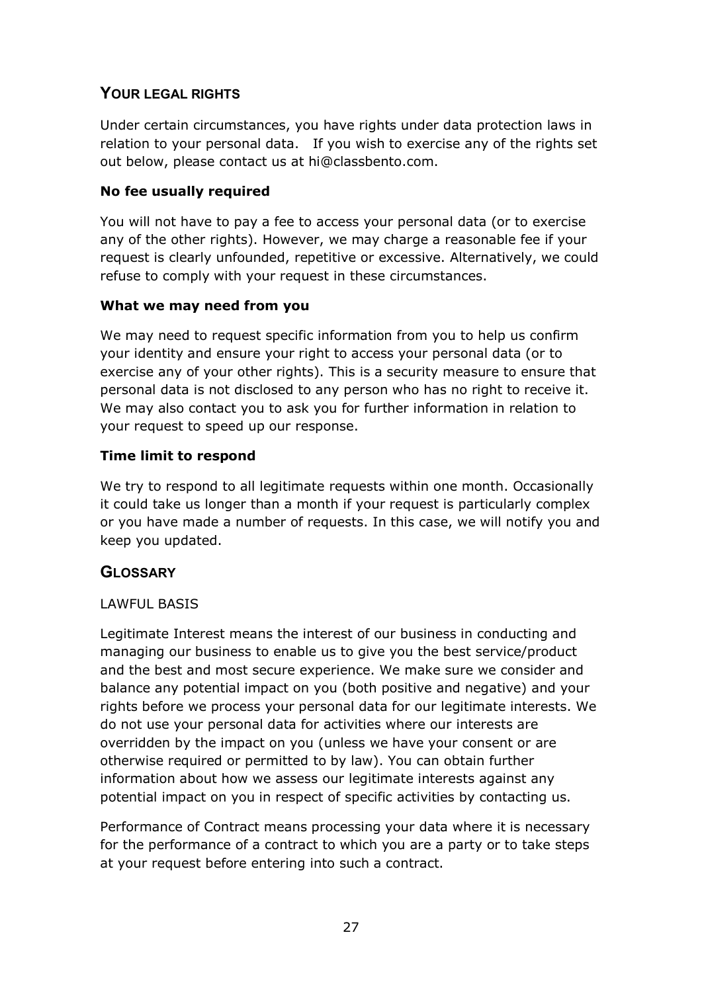# **YOUR LEGAL RIGHTS**

Under certain circumstances, you have rights under data protection laws in relation to your personal data. If you wish to exercise any of the rights set out below, please contact us at hi@classbento.com.

# **No fee usually required**

You will not have to pay a fee to access your personal data (or to exercise any of the other rights). However, we may charge a reasonable fee if your request is clearly unfounded, repetitive or excessive. Alternatively, we could refuse to comply with your request in these circumstances.

# **What we may need from you**

We may need to request specific information from you to help us confirm your identity and ensure your right to access your personal data (or to exercise any of your other rights). This is a security measure to ensure that personal data is not disclosed to any person who has no right to receive it. We may also contact you to ask you for further information in relation to your request to speed up our response.

# **Time limit to respond**

We try to respond to all legitimate requests within one month. Occasionally it could take us longer than a month if your request is particularly complex or you have made a number of requests. In this case, we will notify you and keep you updated.

# **GLOSSARY**

# LAWFUL BASIS

Legitimate Interest means the interest of our business in conducting and managing our business to enable us to give you the best service/product and the best and most secure experience. We make sure we consider and balance any potential impact on you (both positive and negative) and your rights before we process your personal data for our legitimate interests. We do not use your personal data for activities where our interests are overridden by the impact on you (unless we have your consent or are otherwise required or permitted to by law). You can obtain further information about how we assess our legitimate interests against any potential impact on you in respect of specific activities by contacting us.

Performance of Contract means processing your data where it is necessary for the performance of a contract to which you are a party or to take steps at your request before entering into such a contract.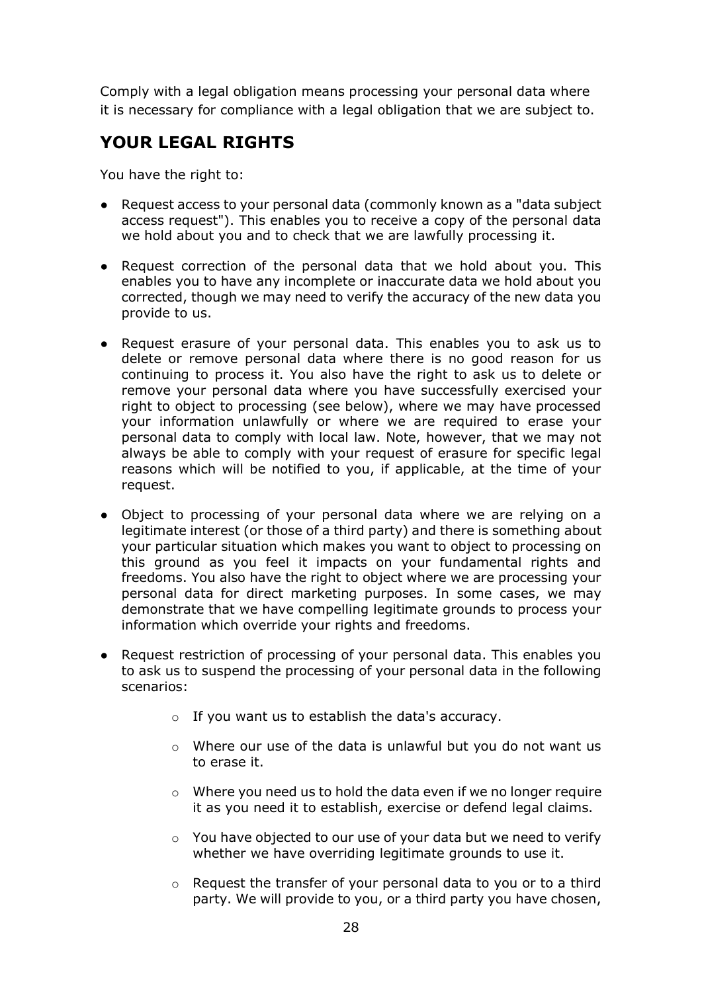Comply with a legal obligation means processing your personal data where it is necessary for compliance with a legal obligation that we are subject to.

# **YOUR LEGAL RIGHTS**

You have the right to:

- Request access to your personal data (commonly known as a "data subject access request"). This enables you to receive a copy of the personal data we hold about you and to check that we are lawfully processing it.
- Request correction of the personal data that we hold about you. This enables you to have any incomplete or inaccurate data we hold about you corrected, though we may need to verify the accuracy of the new data you provide to us.
- Request erasure of your personal data. This enables you to ask us to delete or remove personal data where there is no good reason for us continuing to process it. You also have the right to ask us to delete or remove your personal data where you have successfully exercised your right to object to processing (see below), where we may have processed your information unlawfully or where we are required to erase your personal data to comply with local law. Note, however, that we may not always be able to comply with your request of erasure for specific legal reasons which will be notified to you, if applicable, at the time of your request.
- Object to processing of your personal data where we are relying on a legitimate interest (or those of a third party) and there is something about your particular situation which makes you want to object to processing on this ground as you feel it impacts on your fundamental rights and freedoms. You also have the right to object where we are processing your personal data for direct marketing purposes. In some cases, we may demonstrate that we have compelling legitimate grounds to process your information which override your rights and freedoms.
- Request restriction of processing of your personal data. This enables you to ask us to suspend the processing of your personal data in the following scenarios:
	- o If you want us to establish the data's accuracy.
	- o Where our use of the data is unlawful but you do not want us to erase it.
	- o Where you need us to hold the data even if we no longer require it as you need it to establish, exercise or defend legal claims.
	- o You have objected to our use of your data but we need to verify whether we have overriding legitimate grounds to use it.
	- o Request the transfer of your personal data to you or to a third party. We will provide to you, or a third party you have chosen,